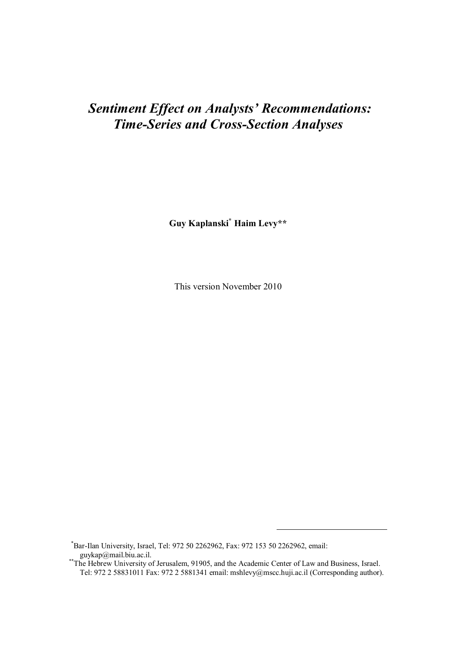## *Sentiment Effect on Analysts' Recommendations: Time-Series and Cross-Section Analyses*

**Guy Kaplanski\* Haim Levy\*\***

This version November 2010

\*Bar-Ilan University, Israel, Tel: 972 50 2262962, Fax: 972 153 50 2262962, email: guykap@mail.biu.ac.il.

-

<sup>\*\*</sup>The Hebrew University of Jerusalem, 91905, and the Academic Center of Law and Business, Israel. Tel: 972 2 58831011 Fax: 972 2 5881341 email: mshlevy@mscc.huji.ac.il (Corresponding author).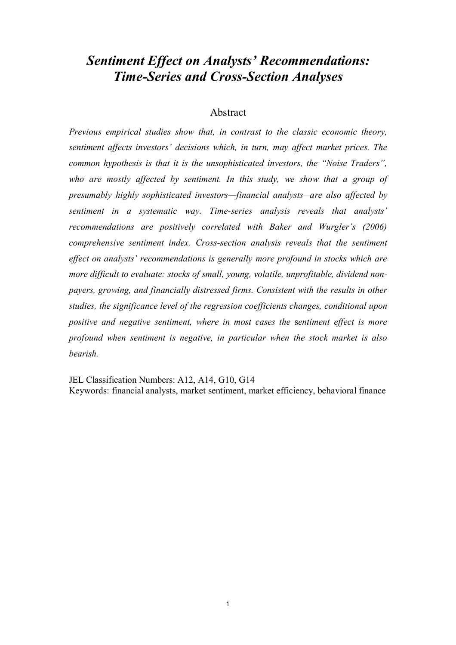## *Sentiment Effect on Analysts' Recommendations: Time-Series and Cross-Section Analyses*

## Abstract

*Previous empirical studies show that, in contrast to the classic economic theory, sentiment affects investors' decisions which, in turn, may affect market prices. The common hypothesis is that it is the unsophisticated investors, the "Noise Traders", who are mostly affected by sentiment. In this study, we show that a group of presumably highly sophisticated investors—financial analysts—are also affected by sentiment in a systematic way. Time-series analysis reveals that analysts' recommendations are positively correlated with Baker and Wurgler's (2006) comprehensive sentiment index. Cross-section analysis reveals that the sentiment effect on analysts' recommendations is generally more profound in stocks which are more difficult to evaluate: stocks of small, young, volatile, unprofitable, dividend nonpayers, growing, and financially distressed firms. Consistent with the results in other studies, the significance level of the regression coefficients changes, conditional upon positive and negative sentiment, where in most cases the* s*entiment effect is more profound when sentiment is negative, in particular when the stock market is also bearish.*

JEL Classification Numbers: A12, A14, G10, G14 Keywords: financial analysts, market sentiment, market efficiency, behavioral finance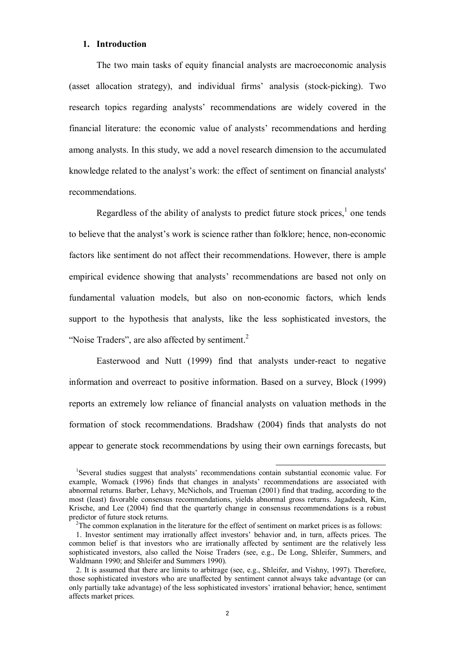#### **1. Introduction**

The two main tasks of equity financial analysts are macroeconomic analysis (asset allocation strategy), and individual firms' analysis (stock-picking). Two research topics regarding analysts' recommendations are widely covered in the financial literature: the economic value of analysts' recommendations and herding among analysts. In this study, we add a novel research dimension to the accumulated knowledge related to the analyst's work: the effect of sentiment on financial analysts' recommendations.

Regardless of the ability of analysts to predict future stock prices, $<sup>1</sup>$  one tends</sup> to believe that the analyst's work is science rather than folklore; hence, non-economic factors like sentiment do not affect their recommendations. However, there is ample empirical evidence showing that analysts' recommendations are based not only on fundamental valuation models, but also on non-economic factors, which lends support to the hypothesis that analysts, like the less sophisticated investors, the "Noise Traders", are also affected by sentiment.<sup>2</sup>

Easterwood and Nutt (1999) find that analysts under-react to negative information and overreact to positive information. Based on a survey, Block (1999) reports an extremely low reliance of financial analysts on valuation methods in the formation of stock recommendations. Bradshaw (2004) finds that analysts do not appear to generate stock recommendations by using their own earnings forecasts, but

-

<sup>&</sup>lt;sup>1</sup>Several studies suggest that analysts' recommendations contain substantial economic value. For example, Womack (1996) finds that changes in analysts' recommendations are associated with abnormal returns. Barber, Lehavy, McNichols, and Trueman (2001) find that trading, according to the most (least) favorable consensus recommendations, yields abnormal gross returns. Jagadeesh, Kim, Krische, and Lee (2004) find that the quarterly change in consensus recommendations is a robust predictor of future stock returns.

<sup>&</sup>lt;sup>2</sup>The common explanation in the literature for the effect of sentiment on market prices is as follows:

<sup>1.</sup> Investor sentiment may irrationally affect investors' behavior and, in turn, affects prices. The common belief is that investors who are irrationally affected by sentiment are the relatively less sophisticated investors, also called the Noise Traders (see, e.g., De Long, Shleifer, Summers, and Waldmann 1990; and Shleifer and Summers 1990).

<sup>2.</sup> It is assumed that there are limits to arbitrage (see, e.g., Shleifer, and Vishny, 1997). Therefore, those sophisticated investors who are unaffected by sentiment cannot always take advantage (or can only partially take advantage) of the less sophisticated investors' irrational behavior; hence, sentiment affects market prices.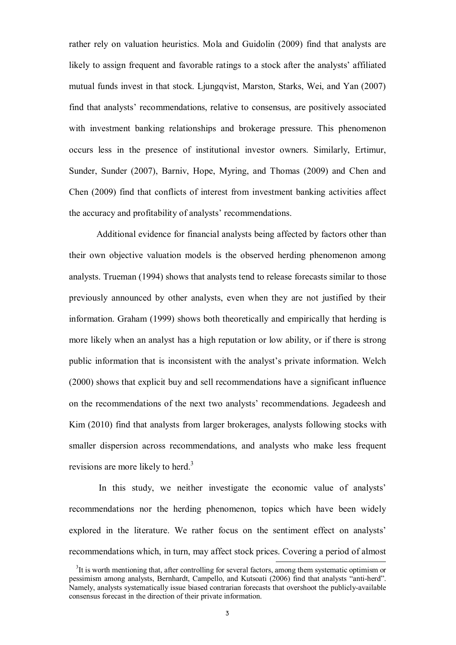rather rely on valuation heuristics. Mola and Guidolin (2009) find that analysts are likely to assign frequent and favorable ratings to a stock after the analysts' affiliated mutual funds invest in that stock. Ljungqvist, Marston, Starks, Wei, and Yan (2007) find that analysts' recommendations, relative to consensus, are positively associated with investment banking relationships and brokerage pressure. This phenomenon occurs less in the presence of institutional investor owners. Similarly, Ertimur, Sunder, Sunder (2007), Barniv, Hope, Myring, and Thomas (2009) and Chen and Chen (2009) find that conflicts of interest from investment banking activities affect the accuracy and profitability of analysts' recommendations.

Additional evidence for financial analysts being affected by factors other than their own objective valuation models is the observed herding phenomenon among analysts. Trueman (1994) shows that analysts tend to release forecasts similar to those previously announced by other analysts, even when they are not justified by their information. Graham (1999) shows both theoretically and empirically that herding is more likely when an analyst has a high reputation or low ability, or if there is strong public information that is inconsistent with the analyst's private information. Welch (2000) shows that explicit buy and sell recommendations have a significant influence on the recommendations of the next two analysts' recommendations. Jegadeesh and Kim (2010) find that analysts from larger brokerages, analysts following stocks with smaller dispersion across recommendations, and analysts who make less frequent revisions are more likely to herd.<sup>3</sup>

In this study, we neither investigate the economic value of analysts' recommendations nor the herding phenomenon, topics which have been widely explored in the literature. We rather focus on the sentiment effect on analysts' recommendations which, in turn, may affect stock prices. Covering a period of almost

-

<sup>&</sup>lt;sup>3</sup>It is worth mentioning that, after controlling for several factors, among them systematic optimism or pessimism among analysts, Bernhardt, Campello, and Kutsoati (2006) find that analysts "anti-herd". Namely, analysts systematically issue biased contrarian forecasts that overshoot the publicly-available consensus forecast in the direction of their private information.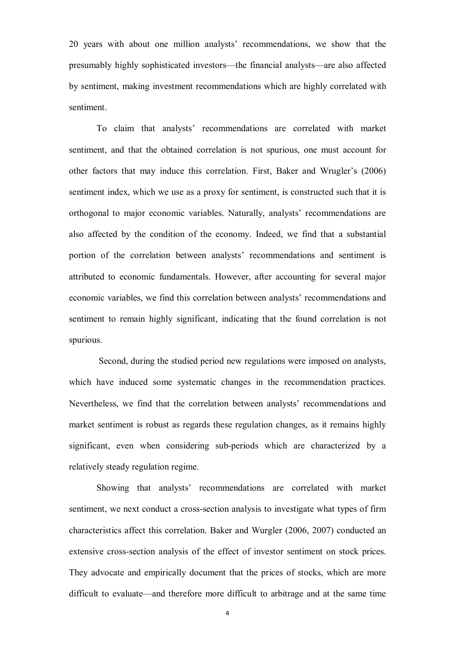20 years with about one million analysts' recommendations, we show that the presumably highly sophisticated investors—the financial analysts—are also affected by sentiment, making investment recommendations which are highly correlated with sentiment.

To claim that analysts' recommendations are correlated with market sentiment, and that the obtained correlation is not spurious, one must account for other factors that may induce this correlation. First, Baker and Wrugler's (2006) sentiment index, which we use as a proxy for sentiment, is constructed such that it is orthogonal to major economic variables. Naturally, analysts' recommendations are also affected by the condition of the economy. Indeed, we find that a substantial portion of the correlation between analysts' recommendations and sentiment is attributed to economic fundamentals. However, after accounting for several major economic variables, we find this correlation between analysts' recommendations and sentiment to remain highly significant, indicating that the found correlation is not spurious.

Second, during the studied period new regulations were imposed on analysts, which have induced some systematic changes in the recommendation practices. Nevertheless, we find that the correlation between analysts' recommendations and market sentiment is robust as regards these regulation changes, as it remains highly significant, even when considering sub-periods which are characterized by a relatively steady regulation regime.

Showing that analysts' recommendations are correlated with market sentiment, we next conduct a cross-section analysis to investigate what types of firm characteristics affect this correlation. Baker and Wurgler (2006, 2007) conducted an extensive cross-section analysis of the effect of investor sentiment on stock prices. They advocate and empirically document that the prices of stocks, which are more difficult to evaluate—and therefore more difficult to arbitrage and at the same time

4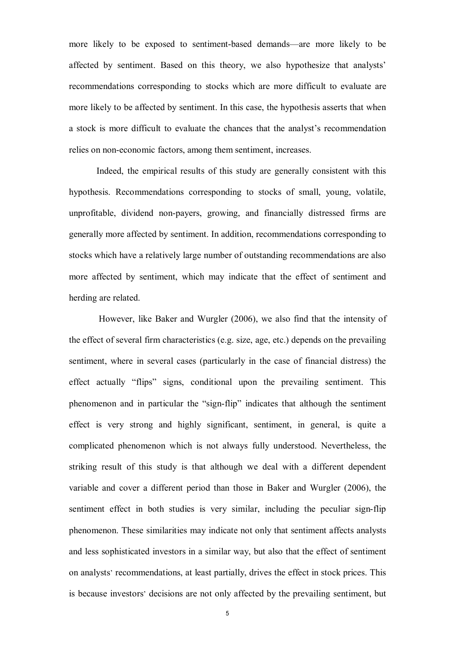more likely to be exposed to sentiment-based demands—are more likely to be affected by sentiment. Based on this theory, we also hypothesize that analysts' recommendations corresponding to stocks which are more difficult to evaluate are more likely to be affected by sentiment. In this case, the hypothesis asserts that when a stock is more difficult to evaluate the chances that the analyst's recommendation relies on non-economic factors, among them sentiment, increases.

Indeed, the empirical results of this study are generally consistent with this hypothesis. Recommendations corresponding to stocks of small, young, volatile, unprofitable, dividend non-payers, growing, and financially distressed firms are generally more affected by sentiment. In addition, recommendations corresponding to stocks which have a relatively large number of outstanding recommendations are also more affected by sentiment, which may indicate that the effect of sentiment and herding are related.

However, like Baker and Wurgler (2006), we also find that the intensity of the effect of several firm characteristics (e.g. size, age, etc.) depends on the prevailing sentiment, where in several cases (particularly in the case of financial distress) the effect actually "flips" signs, conditional upon the prevailing sentiment. This phenomenon and in particular the "sign-flip" indicates that although the sentiment effect is very strong and highly significant, sentiment, in general, is quite a complicated phenomenon which is not always fully understood. Nevertheless, the striking result of this study is that although we deal with a different dependent variable and cover a different period than those in Baker and Wurgler (2006), the sentiment effect in both studies is very similar, including the peculiar sign-flip phenomenon. These similarities may indicate not only that sentiment affects analysts and less sophisticated investors in a similar way, but also that the effect of sentiment on analysts' recommendations, at least partially, drives the effect in stock prices. This is because investors' decisions are not only affected by the prevailing sentiment, but

 $5<sub>5</sub>$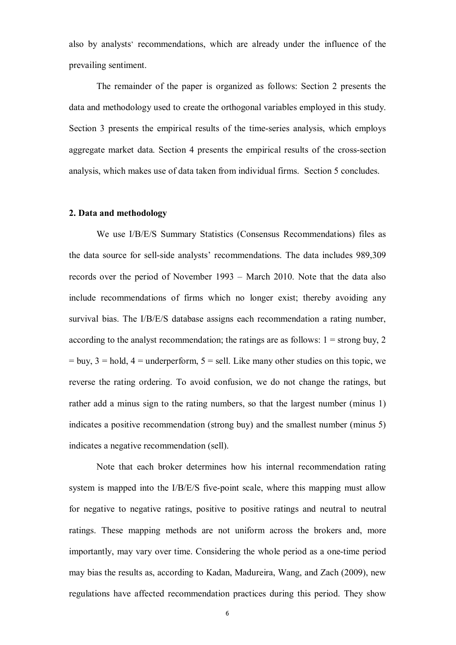also by analysts' recommendations, which are already under the influence of the prevailing sentiment.

The remainder of the paper is organized as follows: Section 2 presents the data and methodology used to create the orthogonal variables employed in this study. Section 3 presents the empirical results of the time-series analysis, which employs aggregate market data. Section 4 presents the empirical results of the cross-section analysis, which makes use of data taken from individual firms. Section 5 concludes.

## **2. Data and methodology**

We use I/B/E/S Summary Statistics (Consensus Recommendations) files as the data source for sell-side analysts' recommendations. The data includes 989,309 records over the period of November 1993 – March 2010. Note that the data also include recommendations of firms which no longer exist; thereby avoiding any survival bias. The I/B/E/S database assigns each recommendation a rating number, according to the analyst recommendation; the ratings are as follows:  $1 =$  strong buy, 2  $=$  buy,  $3$  = hold,  $4$  = underperform,  $5$  = sell. Like many other studies on this topic, we reverse the rating ordering. To avoid confusion, we do not change the ratings, but rather add a minus sign to the rating numbers, so that the largest number (minus 1) indicates a positive recommendation (strong buy) and the smallest number (minus 5) indicates a negative recommendation (sell).

Note that each broker determines how his internal recommendation rating system is mapped into the I/B/E/S five-point scale, where this mapping must allow for negative to negative ratings, positive to positive ratings and neutral to neutral ratings. These mapping methods are not uniform across the brokers and, more importantly, may vary over time. Considering the whole period as a one-time period may bias the results as, according to Kadan, Madureira, Wang, and Zach (2009), new regulations have affected recommendation practices during this period. They show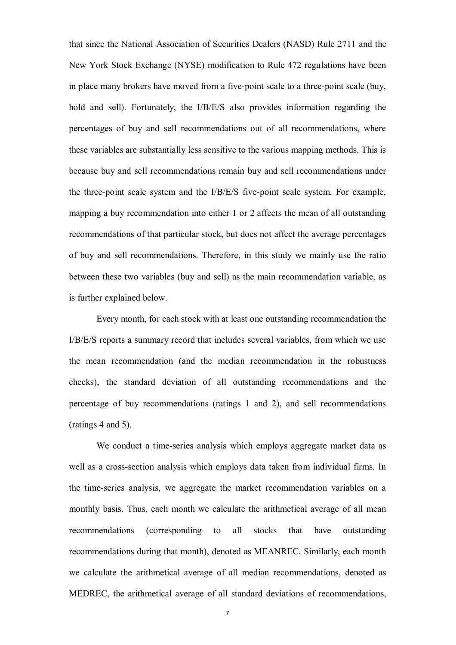that since the National Association of Securities Dealers (NASD) Rule 2711 and the New York Stock Exchange (NYSE) modification to Rule 472 regulations have been in place many brokers have moved from a five-point scale to a three-point scale (buy, hold and sell). Fortunately, the I/B/E/S also provides information regarding the percentages of buy and sell recommendations out of all recommendations, where these variables are substantially less sensitive to the various mapping methods. This is because buy and sell recommendations remain buy and sell recommendations under the three-point scale system and the I/B/E/S five-point scale system. For example, mapping a buy recommendation into either 1 or 2 affects the mean of all outstanding recommendations of that particular stock, but does not affect the average percentages of buy and sell recommendations. Therefore, in this study we mainly use the ratio between these two variables (buy and sell) as the main recommendation variable, as is further explained below.

Every month, for each stock with at least one outstanding recommendation the I/B/E/S reports a summary record that includes several variables, from which we use the mean recommendation (and the median recommendation in the robustness checks), the standard deviation of all outstanding recommendations and the percentage of buy recommendations (ratings 1 and 2), and sell recommendations (ratings 4 and 5).

We conduct a time-series analysis which employs aggregate market data as well as a cross-section analysis which employs data taken from individual firms. In the time-series analysis, we aggregate the market recommendation variables on a monthly basis. Thus, each month we calculate the arithmetical average of all mean recommendations (corresponding to all stocks that have outstanding recommendations during that month), denoted as MEANREC. Similarly, each month we calculate the arithmetical average of all median recommendations, denoted as MEDREC, the arithmetical average of all standard deviations of recommendations,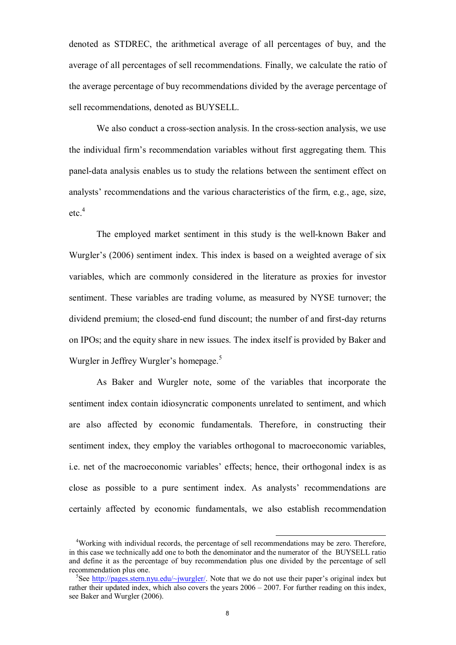denoted as STDREC, the arithmetical average of all percentages of buy, and the average of all percentages of sell recommendations. Finally, we calculate the ratio of the average percentage of buy recommendations divided by the average percentage of sell recommendations, denoted as BUYSELL.

We also conduct a cross-section analysis. In the cross-section analysis, we use the individual firm's recommendation variables without first aggregating them. This panel-data analysis enables us to study the relations between the sentiment effect on analysts' recommendations and the various characteristics of the firm, e.g., age, size, etc. 4

The employed market sentiment in this study is the well-known Baker and Wurgler's (2006) sentiment index. This index is based on a weighted average of six variables, which are commonly considered in the literature as proxies for investor sentiment. These variables are trading volume, as measured by NYSE turnover; the dividend premium; the closed-end fund discount; the number of and first-day returns on IPOs; and the equity share in new issues. The index itself is provided by Baker and Wurgler in Jeffrey Wurgler's homepage.<sup>5</sup>

As Baker and Wurgler note, some of the variables that incorporate the sentiment index contain idiosyncratic components unrelated to sentiment, and which are also affected by economic fundamentals. Therefore, in constructing their sentiment index, they employ the variables orthogonal to macroeconomic variables, i.e. net of the macroeconomic variables' effects; hence, their orthogonal index is as close as possible to a pure sentiment index. As analysts' recommendations are certainly affected by economic fundamentals, we also establish recommendation

-

<sup>4</sup>Working with individual records, the percentage of sell recommendations may be zero. Therefore, in this case we technically add one to both the denominator and the numerator of the BUYSELL ratio and define it as the percentage of buy recommendation plus one divided by the percentage of sell recommendation plus one.

<sup>&</sup>lt;sup>5</sup>See http://pages.stern.nyu.edu/~jwurgler/. Note that we do not use their paper's original index but rather their updated index, which also covers the years 2006 – 2007. For further reading on this index, see Baker and Wurgler (2006).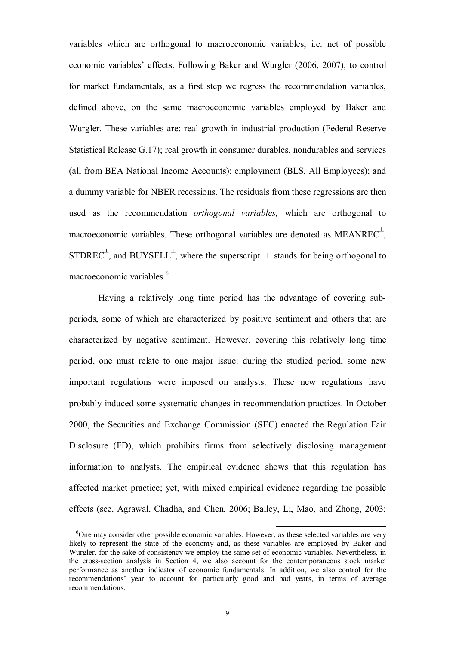variables which are orthogonal to macroeconomic variables, i.e. net of possible economic variables' effects. Following Baker and Wurgler (2006, 2007), to control for market fundamentals, as a first step we regress the recommendation variables, defined above, on the same macroeconomic variables employed by Baker and Wurgler. These variables are: real growth in industrial production (Federal Reserve Statistical Release G.17); real growth in consumer durables, nondurables and services (all from BEA National Income Accounts); employment (BLS, All Employees); and a dummy variable for NBER recessions. The residuals from these regressions are then used as the recommendation *orthogonal variables,* which are orthogonal to macroeconomic variables. These orthogonal variables are denoted as  $MEANREC^{\perp}$ , STDREC<sup> $\perp$ </sup>, and BUYSELL<sup> $\perp$ </sup>, where the superscript  $\perp$  stands for being orthogonal to macroeconomic variables. 6

Having a relatively long time period has the advantage of covering subperiods, some of which are characterized by positive sentiment and others that are characterized by negative sentiment. However, covering this relatively long time period, one must relate to one major issue: during the studied period, some new important regulations were imposed on analysts. These new regulations have probably induced some systematic changes in recommendation practices. In October 2000, the Securities and Exchange Commission (SEC) enacted the Regulation Fair Disclosure (FD), which prohibits firms from selectively disclosing management information to analysts. The empirical evidence shows that this regulation has affected market practice; yet, with mixed empirical evidence regarding the possible effects (see, Agrawal, Chadha, and Chen, 2006; Bailey, Li, Mao, and Zhong, 2003;

-

<sup>&</sup>lt;sup>6</sup>One may consider other possible economic variables. However, as these selected variables are very likely to represent the state of the economy and, as these variables are employed by Baker and Wurgler, for the sake of consistency we employ the same set of economic variables. Nevertheless, in the cross-section analysis in Section 4, we also account for the contemporaneous stock market performance as another indicator of economic fundamentals. In addition, we also control for the recommendations' year to account for particularly good and bad years, in terms of average recommendations.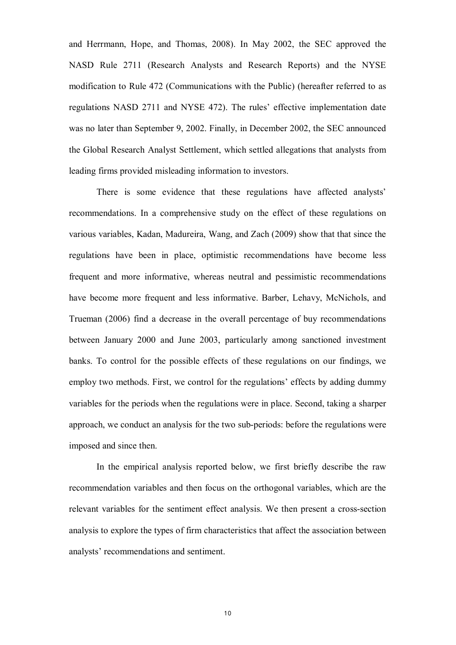and Herrmann, Hope, and Thomas, 2008). In May 2002, the SEC approved the NASD Rule 2711 (Research Analysts and Research Reports) and the NYSE modification to Rule 472 (Communications with the Public) (hereafter referred to as regulations NASD 2711 and NYSE 472). The rules' effective implementation date was no later than September 9, 2002. Finally, in December 2002, the SEC announced the Global Research Analyst Settlement, which settled allegations that analysts from leading firms provided misleading information to investors.

There is some evidence that these regulations have affected analysts' recommendations. In a comprehensive study on the effect of these regulations on various variables, Kadan, Madureira, Wang, and Zach (2009) show that that since the regulations have been in place, optimistic recommendations have become less frequent and more informative, whereas neutral and pessimistic recommendations have become more frequent and less informative. Barber, Lehavy, McNichols, and Trueman (2006) find a decrease in the overall percentage of buy recommendations between January 2000 and June 2003, particularly among sanctioned investment banks. To control for the possible effects of these regulations on our findings, we employ two methods. First, we control for the regulations' effects by adding dummy variables for the periods when the regulations were in place. Second, taking a sharper approach, we conduct an analysis for the two sub-periods: before the regulations were imposed and since then.

In the empirical analysis reported below, we first briefly describe the raw recommendation variables and then focus on the orthogonal variables, which are the relevant variables for the sentiment effect analysis. We then present a cross-section analysis to explore the types of firm characteristics that affect the association between analysts' recommendations and sentiment.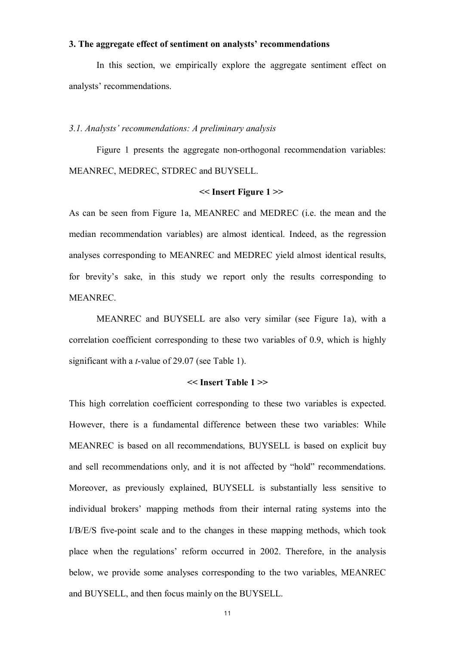#### **3. The aggregate effect of sentiment on analysts' recommendations**

In this section, we empirically explore the aggregate sentiment effect on analysts' recommendations.

#### *3.1. Analysts' recommendations: A preliminary analysis*

Figure 1 presents the aggregate non-orthogonal recommendation variables: MEANREC, MEDREC, STDREC and BUYSELL.

### **<< Insert Figure 1 >>**

As can be seen from Figure 1a, MEANREC and MEDREC (i.e. the mean and the median recommendation variables) are almost identical. Indeed, as the regression analyses corresponding to MEANREC and MEDREC yield almost identical results, for brevity's sake, in this study we report only the results corresponding to MEANREC.

MEANREC and BUYSELL are also very similar (see Figure 1a), with a correlation coefficient corresponding to these two variables of 0.9, which is highly significant with a *t*-value of 29.07 (see Table 1).

### **<< Insert Table 1 >>**

This high correlation coefficient corresponding to these two variables is expected. However, there is a fundamental difference between these two variables: While MEANREC is based on all recommendations, BUYSELL is based on explicit buy and sell recommendations only, and it is not affected by "hold" recommendations. Moreover, as previously explained, BUYSELL is substantially less sensitive to individual brokers' mapping methods from their internal rating systems into the I/B/E/S five-point scale and to the changes in these mapping methods, which took place when the regulations' reform occurred in 2002. Therefore, in the analysis below, we provide some analyses corresponding to the two variables, MEANREC and BUYSELL, and then focus mainly on the BUYSELL.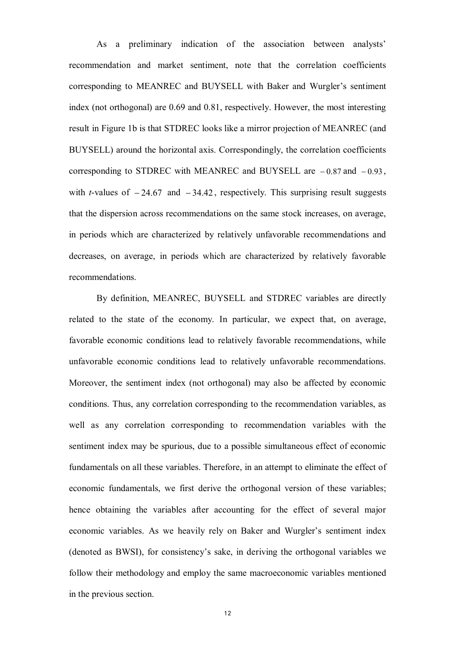As a preliminary indication of the association between analysts' recommendation and market sentiment, note that the correlation coefficients corresponding to MEANREC and BUYSELL with Baker and Wurgler's sentiment index (not orthogonal) are 0.69 and 0.81, respectively. However, the most interesting result in Figure 1b is that STDREC looks like a mirror projection of MEANREC (and BUYSELL) around the horizontal axis. Correspondingly, the correlation coefficients corresponding to STDREC with MEANREC and BUYSELL are  $-0.87$  and  $-0.93$ , with *t*-values of  $-24.67$  and  $-34.42$ , respectively. This surprising result suggests that the dispersion across recommendations on the same stock increases, on average, in periods which are characterized by relatively unfavorable recommendations and decreases, on average, in periods which are characterized by relatively favorable recommendations.

By definition, MEANREC, BUYSELL and STDREC variables are directly related to the state of the economy. In particular, we expect that, on average, favorable economic conditions lead to relatively favorable recommendations, while unfavorable economic conditions lead to relatively unfavorable recommendations. Moreover, the sentiment index (not orthogonal) may also be affected by economic conditions. Thus, any correlation corresponding to the recommendation variables, as well as any correlation corresponding to recommendation variables with the sentiment index may be spurious, due to a possible simultaneous effect of economic fundamentals on all these variables. Therefore, in an attempt to eliminate the effect of economic fundamentals, we first derive the orthogonal version of these variables; hence obtaining the variables after accounting for the effect of several major economic variables. As we heavily rely on Baker and Wurgler's sentiment index (denoted as BWSI), for consistency's sake, in deriving the orthogonal variables we follow their methodology and employ the same macroeconomic variables mentioned in the previous section.

 $12$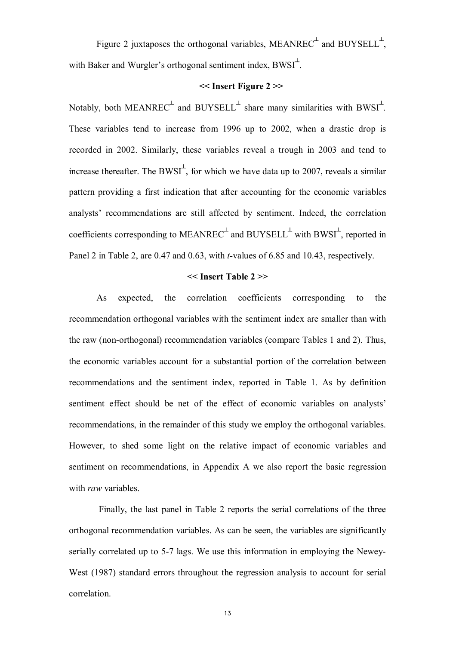Figure 2 juxtaposes the orthogonal variables, MEANREC<sup> $\pm$ </sup> and BUYSELL<sup> $\pm$ </sup>, with Baker and Wurgler's orthogonal sentiment index,  $BWSI^{\perp}$ .

## **<< Insert Figure 2 >>**

Notably, both MEANREC<sup> $\perp$ </sup> and BUYSELL<sup> $\perp$ </sup> share many similarities with BWSI<sup> $\perp$ </sup>. These variables tend to increase from 1996 up to 2002, when a drastic drop is recorded in 2002. Similarly, these variables reveal a trough in 2003 and tend to increase thereafter. The BWSI<sup> $\perp$ </sup>, for which we have data up to 2007, reveals a similar pattern providing a first indication that after accounting for the economic variables analysts' recommendations are still affected by sentiment. Indeed, the correlation coefficients corresponding to  $MEANREC^{\perp}$  and  $BUYSEL<sup>\perp</sup>$  with  $BWSI^{\perp}$ , reported in Panel 2 in Table 2, are 0.47 and 0.63, with *t*-values of 6.85 and 10.43, respectively.

#### **<< Insert Table 2 >>**

As expected, the correlation coefficients corresponding to the recommendation orthogonal variables with the sentiment index are smaller than with the raw (non-orthogonal) recommendation variables (compare Tables 1 and 2). Thus, the economic variables account for a substantial portion of the correlation between recommendations and the sentiment index, reported in Table 1. As by definition sentiment effect should be net of the effect of economic variables on analysts' recommendations, in the remainder of this study we employ the orthogonal variables. However, to shed some light on the relative impact of economic variables and sentiment on recommendations, in Appendix A we also report the basic regression with *raw* variables.

Finally, the last panel in Table 2 reports the serial correlations of the three orthogonal recommendation variables. As can be seen, the variables are significantly serially correlated up to 5-7 lags. We use this information in employing the Newey-West (1987) standard errors throughout the regression analysis to account for serial correlation.

 $13$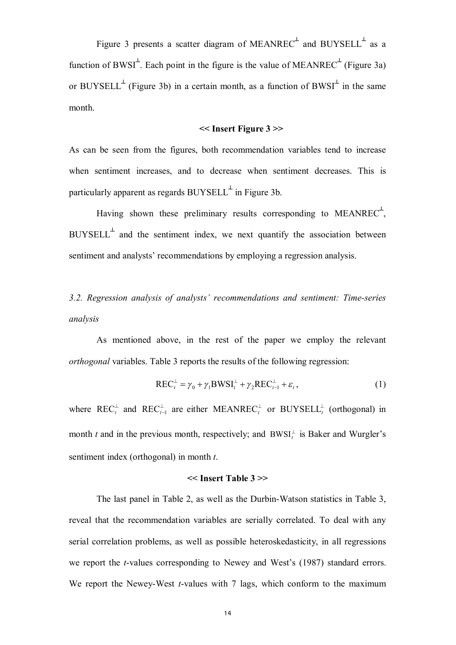Figure 3 presents a scatter diagram of MEANREC $^{\perp}$  and BUYSELL $^{\perp}$  as a function of BWSI<sup> $\perp$ </sup>. Each point in the figure is the value of MEANREC $\perp$ <sup> $\perp$ </sup> (Figure 3a) or BUYSELL<sup> $\perp$ </sup> (Figure 3b) in a certain month, as a function of BWSI<sup> $\perp$ </sup> in the same month.

#### **<< Insert Figure 3 >>**

As can be seen from the figures, both recommendation variables tend to increase when sentiment increases, and to decrease when sentiment decreases. This is particularly apparent as regards  $\text{BUYSEL}^{\perp}$  in Figure 3b.

Having shown these preliminary results corresponding to MEANREC<sup> $\pm$ </sup>,  $BUYSEL<sup>+</sup>$  and the sentiment index, we next quantify the association between sentiment and analysts' recommendations by employing a regression analysis.

# *3.2. Regression analysis of analysts' recommendations and sentiment: Time-series analysis*

As mentioned above, in the rest of the paper we employ the relevant *orthogonal* variables. Table 3 reports the results of the following regression:

$$
REC_t^{\perp} = \gamma_0 + \gamma_1 BWSI_t^{\perp} + \gamma_2 REC_{t-1}^{\perp} + \varepsilon_t,
$$
\n(1)

where  $\text{REC}_t^{\perp}$  and  $\text{REC}_{t-1}^{\perp}$  are either MEANREC<sub>t</sub><sup>1</sup> or BUYSELL<sup>1</sup><sub>t</sub> (orthogonal) in month *t* and in the previous month, respectively; and  $BWSI_t^{\perp}$  is Baker and Wurgler's sentiment index (orthogonal) in month *t*.

#### **<< Insert Table 3 >>**

The last panel in Table 2, as well as the Durbin-Watson statistics in Table 3, reveal that the recommendation variables are serially correlated. To deal with any serial correlation problems, as well as possible heteroskedasticity, in all regressions we report the *t*-values corresponding to Newey and West's (1987) standard errors. We report the Newey-West *t*-values with 7 lags, which conform to the maximum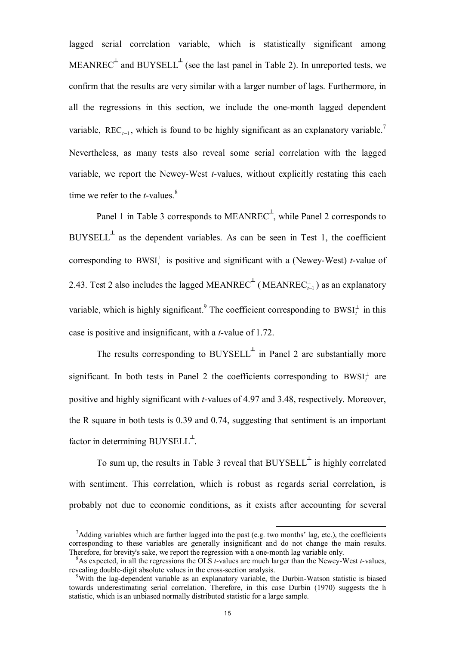lagged serial correlation variable, which is statistically significant among MEANREC<sup> $\pm$ </sup> and BUYSELL<sup> $\pm$ </sup> (see the last panel in Table 2). In unreported tests, we confirm that the results are very similar with a larger number of lags. Furthermore, in all the regressions in this section, we include the one-month lagged dependent variable, REC<sub> $t-1$ </sub>, which is found to be highly significant as an explanatory variable.<sup>7</sup> Nevertheless, as many tests also reveal some serial correlation with the lagged variable, we report the Newey-West *t*-values, without explicitly restating this each time we refer to the *t*-values. 8

Panel 1 in Table 3 corresponds to MEANREC<sup> $\perp$ </sup>, while Panel 2 corresponds to  $BUYSEL<sup>+</sup>$  as the dependent variables. As can be seen in Test 1, the coefficient corresponding to  $BWSI_t^{\perp}$  is positive and significant with a (Newey-West) *t*-value of 2.43. Test 2 also includes the lagged MEANREC<sup> $+$ </sup> (MEANREC ${}_{t-1}^{\perp}$ ) as an explanatory variable, which is highly significant.<sup>9</sup> The coefficient corresponding to  $BWSI_t^{\perp}$  in this case is positive and insignificant, with a *t*-value of 1.72.

The results corresponding to  $BUVSEL<sup>+</sup>$  in Panel 2 are substantially more significant. In both tests in Panel 2 the coefficients corresponding to  $BWSI_t^{\perp}$  are positive and highly significant with *t*-values of 4.97 and 3.48, respectively. Moreover, the R square in both tests is 0.39 and 0.74, suggesting that sentiment is an important factor in determining BUYSELL<sup>+</sup>.

To sum up, the results in Table 3 reveal that  $BUYSEL<sup>+</sup>$  is highly correlated with sentiment. This correlation, which is robust as regards serial correlation, is probably not due to economic conditions, as it exists after accounting for several

-

<sup>&</sup>lt;sup>7</sup>Adding variables which are further lagged into the past (e.g. two months' lag, etc.), the coefficients corresponding to these variables are generally insignificant and do not change the main results. Therefore, for brevity's sake, we report the regression with a one-month lag variable only.

<sup>8</sup>As expected, in all the regressions the OLS *t*-values are much larger than the Newey-West *t*-values, revealing double-digit absolute values in the cross-section analysis.

<sup>9</sup>With the lag-dependent variable as an explanatory variable, the Durbin-Watson statistic is biased towards underestimating serial correlation. Therefore, in this case Durbin (1970) suggests the h statistic, which is an unbiased normally distributed statistic for a large sample.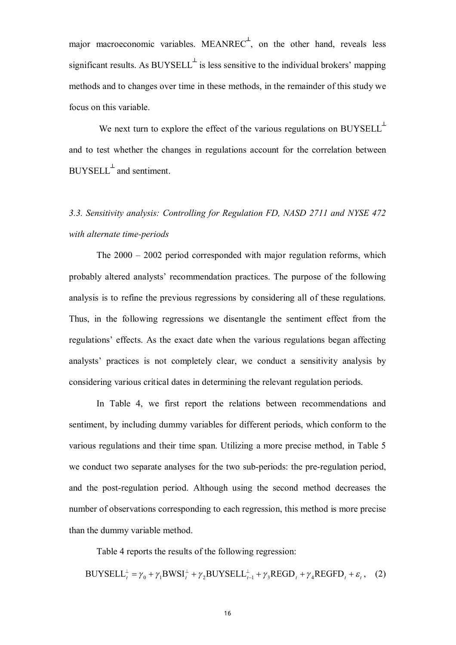major macroeconomic variables. MEANREC<sup> $\perp$ </sup>, on the other hand, reveals less significant results. As  $BUYSEL<sup>+</sup>$  is less sensitive to the individual brokers' mapping methods and to changes over time in these methods, in the remainder of this study we focus on this variable.

We next turn to explore the effect of the various regulations on  $BUYSEL<sup>+</sup>$ and to test whether the changes in regulations account for the correlation between  $\text{BUYSELL}^{\perp}$  and sentiment.

# *3.3. Sensitivity analysis: Controlling for Regulation FD, NASD 2711 and NYSE 472 with alternate time-periods*

The 2000 – 2002 period corresponded with major regulation reforms, which probably altered analysts' recommendation practices. The purpose of the following analysis is to refine the previous regressions by considering all of these regulations. Thus, in the following regressions we disentangle the sentiment effect from the regulations' effects. As the exact date when the various regulations began affecting analysts' practices is not completely clear, we conduct a sensitivity analysis by considering various critical dates in determining the relevant regulation periods.

In Table 4, we first report the relations between recommendations and sentiment, by including dummy variables for different periods, which conform to the various regulations and their time span. Utilizing a more precise method, in Table 5 we conduct two separate analyses for the two sub-periods: the pre-regulation period, and the post-regulation period. Although using the second method decreases the number of observations corresponding to each regression, this method is more precise than the dummy variable method.

Table 4 reports the results of the following regression:

$$
BUYSELL_t^{\perp} = \gamma_0 + \gamma_1 BWSI_t^{\perp} + \gamma_2 BUYSELL_{t-1}^{\perp} + \gamma_3 REGD_t + \gamma_4 REGFD_t + \varepsilon_t, \quad (2)
$$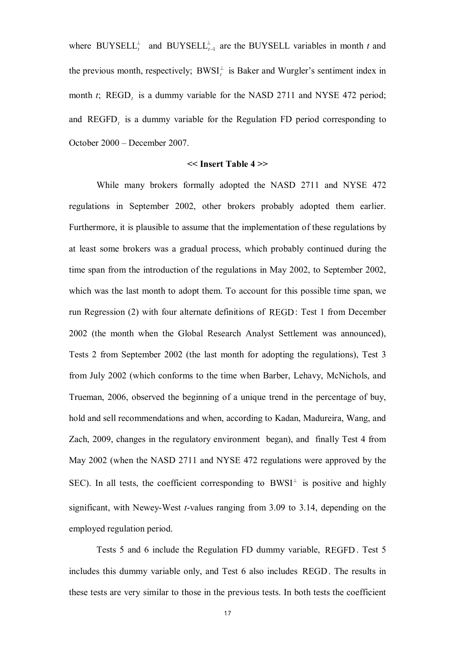where BUYSELL<sup> $\perp$ </sup> and BUYSELL<sup> $\perp$ </sup><sub>t-1</sub> are the BUYSELL variables in month *t* and the previous month, respectively;  $BWSI_t^{\perp}$  is Baker and Wurgler's sentiment index in month *t*;  $REGD<sub>t</sub>$  is a dummy variable for the NASD 2711 and NYSE 472 period; and  $REGFD<sub>t</sub>$  is a dummy variable for the Regulation FD period corresponding to October 2000 – December 2007.

#### **<< Insert Table 4 >>**

While many brokers formally adopted the NASD 2711 and NYSE 472 regulations in September 2002, other brokers probably adopted them earlier. Furthermore, it is plausible to assume that the implementation of these regulations by at least some brokers was a gradual process, which probably continued during the time span from the introduction of the regulations in May 2002, to September 2002, which was the last month to adopt them. To account for this possible time span, we run Regression (2) with four alternate definitions of REGD: Test 1 from December 2002 (the month when the Global Research Analyst Settlement was announced), Tests 2 from September 2002 (the last month for adopting the regulations), Test 3 from July 2002 (which conforms to the time when Barber, Lehavy, McNichols, and Trueman, 2006, observed the beginning of a unique trend in the percentage of buy, hold and sell recommendations and when, according to Kadan, Madureira, Wang, and Zach, 2009, changes in the regulatory environment began), and finally Test 4 from May 2002 (when the NASD 2711 and NYSE 472 regulations were approved by the SEC). In all tests, the coefficient corresponding to  $BWSI^{\perp}$  is positive and highly significant, with Newey-West *t*-values ranging from 3.09 to 3.14, depending on the employed regulation period.

Tests 5 and 6 include the Regulation FD dummy variable, REGFD . Test 5 includes this dummy variable only, and Test 6 also includes REGD. The results in these tests are very similar to those in the previous tests. In both tests the coefficient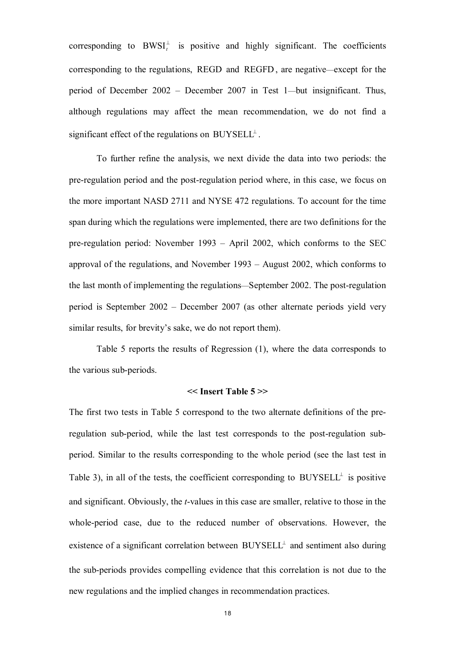corresponding to  $BWSI_t^{\perp}$  is positive and highly significant. The coefficients corresponding to the regulations, REGD and REGFD , are negative—except for the period of December 2002 – December 2007 in Test 1—but insignificant. Thus, although regulations may affect the mean recommendation, we do not find a significant effect of the regulations on  $\text{BUYSELL}^{\perp}$ .

To further refine the analysis, we next divide the data into two periods: the pre-regulation period and the post-regulation period where, in this case, we focus on the more important NASD 2711 and NYSE 472 regulations. To account for the time span during which the regulations were implemented, there are two definitions for the pre-regulation period: November 1993 – April 2002, which conforms to the SEC approval of the regulations, and November 1993 – August 2002, which conforms to the last month of implementing the regulations—September 2002. The post-regulation period is September 2002 – December 2007 (as other alternate periods yield very similar results, for brevity's sake, we do not report them).

Table 5 reports the results of Regression (1), where the data corresponds to the various sub-periods.

### **<< Insert Table 5 >>**

The first two tests in Table 5 correspond to the two alternate definitions of the preregulation sub-period, while the last test corresponds to the post-regulation subperiod. Similar to the results corresponding to the whole period (see the last test in Table 3), in all of the tests, the coefficient corresponding to  $BUYSEL<sup>\perp</sup>$  is positive and significant. Obviously, the *t*-values in this case are smaller, relative to those in the whole-period case, due to the reduced number of observations. However, the existence of a significant correlation between  $BUYSEL<sup>\perp</sup>$  and sentiment also during the sub-periods provides compelling evidence that this correlation is not due to the new regulations and the implied changes in recommendation practices.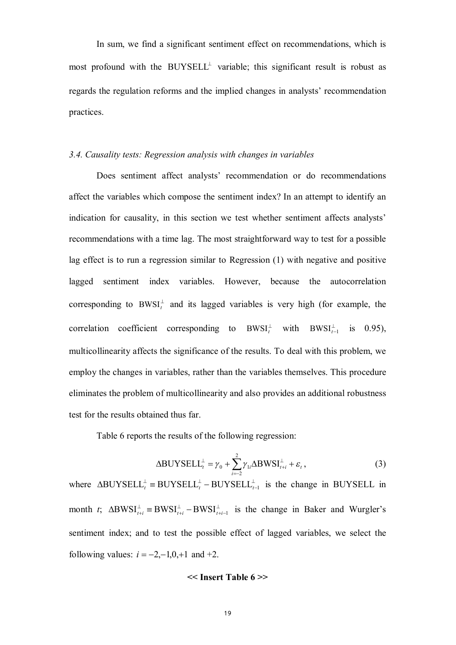In sum, we find a significant sentiment effect on recommendations, which is most profound with the  $BUYSEL<sup>\perp</sup>$  variable; this significant result is robust as regards the regulation reforms and the implied changes in analysts' recommendation practices.

#### *3.4. Causality tests: Regression analysis with changes in variables*

Does sentiment affect analysts' recommendation or do recommendations affect the variables which compose the sentiment index? In an attempt to identify an indication for causality, in this section we test whether sentiment affects analysts' recommendations with a time lag. The most straightforward way to test for a possible lag effect is to run a regression similar to Regression (1) with negative and positive lagged sentiment index variables. However, because the autocorrelation corresponding to  $BWSI_t^{\perp}$  and its lagged variables is very high (for example, the correlation coefficient corresponding to  $BWSI_t^{\perp}$  with  $BWSI_{t-1}^{\perp}$  is 0.95), multicollinearity affects the significance of the results. To deal with this problem, we employ the changes in variables, rather than the variables themselves. This procedure eliminates the problem of multicollinearity and also provides an additional robustness test for the results obtained thus far.

Table 6 reports the results of the following regression:

$$
\Delta \text{BUYSELI}_{t}^{\perp} = \gamma_0 + \sum_{i=-2}^{2} \gamma_{1i} \Delta \text{BWSI}_{t+i}^{\perp} + \varepsilon_t, \qquad (3)
$$

where  $\triangle BUYSELL_t^{\perp} = BUYSELL_t^{\perp} - BUYSELL_{t-1}^{\perp}$  is the change in BUYSELL in month *t*;  $\Delta$ BWSI $_{t+i}^{\perp}$  = BWSI $_{t+i}^{\perp}$  - BWSI $_{t+i}^{\perp}$  $+i \perp$  $\Delta BWSI_{t+i}^{\perp} \equiv BWSI_{t+i}^{\perp} - BWSI_{t+i-1}^{\perp}$  is the change in Baker and Wurgler's sentiment index; and to test the possible effect of lagged variables, we select the following values:  $i = -2, -1, 0, +1$  and  $+2$ .

## **<< Insert Table 6 >>**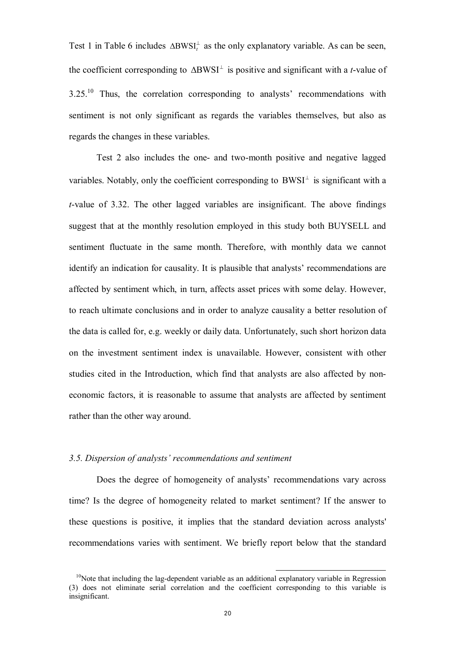Test 1 in Table 6 includes  $\Delta BWSI_t^{\perp}$  as the only explanatory variable. As can be seen, the coefficient corresponding to  $\Delta BWSI^{\perp}$  is positive and significant with a *t*-value of  $3.25<sup>10</sup>$  Thus, the correlation corresponding to analysts' recommendations with sentiment is not only significant as regards the variables themselves, but also as regards the changes in these variables.

Test 2 also includes the one- and two-month positive and negative lagged variables. Notably, only the coefficient corresponding to  $BWSI^{\perp}$  is significant with a *t*-value of 3.32. The other lagged variables are insignificant. The above findings suggest that at the monthly resolution employed in this study both BUYSELL and sentiment fluctuate in the same month. Therefore, with monthly data we cannot identify an indication for causality. It is plausible that analysts' recommendations are affected by sentiment which, in turn, affects asset prices with some delay. However, to reach ultimate conclusions and in order to analyze causality a better resolution of the data is called for, e.g. weekly or daily data. Unfortunately, such short horizon data on the investment sentiment index is unavailable. However, consistent with other studies cited in the Introduction, which find that analysts are also affected by noneconomic factors, it is reasonable to assume that analysts are affected by sentiment rather than the other way around.

#### *3.5. Dispersion of analysts' recommendations and sentiment*

Does the degree of homogeneity of analysts' recommendations vary across time? Is the degree of homogeneity related to market sentiment? If the answer to these questions is positive, it implies that the standard deviation across analysts' recommendations varies with sentiment. We briefly report below that the standard

-

 $10$ Note that including the lag-dependent variable as an additional explanatory variable in Regression (3) does not eliminate serial correlation and the coefficient corresponding to this variable is insignificant.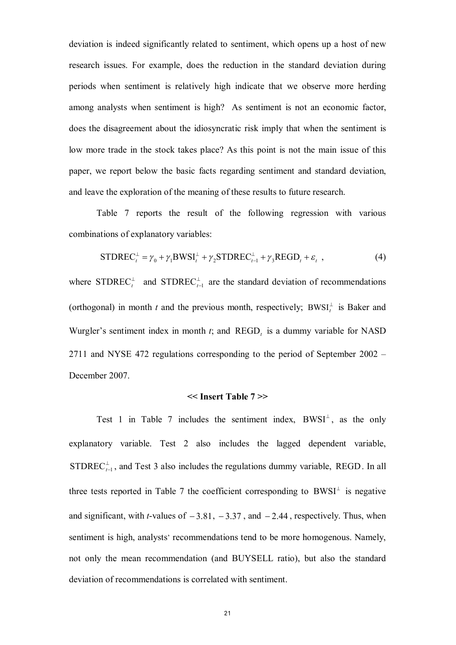deviation is indeed significantly related to sentiment, which opens up a host of new research issues. For example, does the reduction in the standard deviation during periods when sentiment is relatively high indicate that we observe more herding among analysts when sentiment is high? As sentiment is not an economic factor, does the disagreement about the idiosyncratic risk imply that when the sentiment is low more trade in the stock takes place? As this point is not the main issue of this paper, we report below the basic facts regarding sentiment and standard deviation, and leave the exploration of the meaning of these results to future research.

Table 7 reports the result of the following regression with various combinations of explanatory variables:

$$
STDREC_t^{\perp} = \gamma_0 + \gamma_1 BWSI_t^{\perp} + \gamma_2 STDREC_{t-1}^{\perp} + \gamma_3 REGD_t + \varepsilon_t,
$$
\n(4)

where STDREC<sup> $\perp$ </sup> and STDREC<sup> $\perp$ </sup><sub>t-1</sub> are the standard deviation of recommendations (orthogonal) in month *t* and the previous month, respectively; BWSI<sup> $\perp$ </sup> is Baker and Wurgler's sentiment index in month  $t$ ; and  $\text{REGD}_t$  is a dummy variable for NASD 2711 and NYSE 472 regulations corresponding to the period of September 2002 – December 2007.

#### **<< Insert Table 7 >>**

Test 1 in Table 7 includes the sentiment index,  $BWSI^{\perp}$ , as the only explanatory variable. Test 2 also includes the lagged dependent variable, STDREC<sup> $\perp$ </sup><sub>t-1</sub>, and Test 3 also includes the regulations dummy variable, REGD. In all three tests reported in Table 7 the coefficient corresponding to  $BWSI^{\perp}$  is negative and significant, with *t*-values of  $-3.81$ ,  $-3.37$ , and  $-2.44$ , respectively. Thus, when sentiment is high, analysts' recommendations tend to be more homogenous. Namely, not only the mean recommendation (and BUYSELL ratio), but also the standard deviation of recommendations is correlated with sentiment.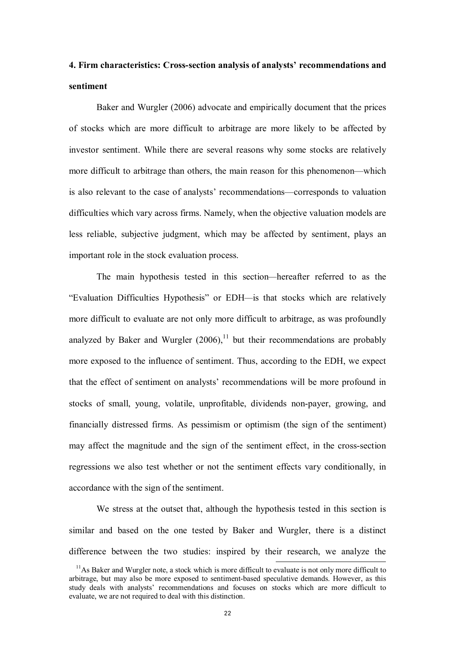## **4. Firm characteristics: Cross-section analysis of analysts' recommendations and sentiment**

Baker and Wurgler (2006) advocate and empirically document that the prices of stocks which are more difficult to arbitrage are more likely to be affected by investor sentiment. While there are several reasons why some stocks are relatively more difficult to arbitrage than others, the main reason for this phenomenon—which is also relevant to the case of analysts' recommendations—corresponds to valuation difficulties which vary across firms. Namely, when the objective valuation models are less reliable, subjective judgment, which may be affected by sentiment, plays an important role in the stock evaluation process.

The main hypothesis tested in this section*—*hereafter referred to as the "Evaluation Difficulties Hypothesis" or EDH*—*is that stocks which are relatively more difficult to evaluate are not only more difficult to arbitrage, as was profoundly analyzed by Baker and Wurgler  $(2006)$ ,<sup>11</sup> but their recommendations are probably more exposed to the influence of sentiment. Thus, according to the EDH, we expect that the effect of sentiment on analysts' recommendations will be more profound in stocks of small, young, volatile, unprofitable, dividends non-payer, growing, and financially distressed firms. As pessimism or optimism (the sign of the sentiment) may affect the magnitude and the sign of the sentiment effect, in the cross-section regressions we also test whether or not the sentiment effects vary conditionally, in accordance with the sign of the sentiment.

We stress at the outset that, although the hypothesis tested in this section is similar and based on the one tested by Baker and Wurgler, there is a distinct difference between the two studies: inspired by their research, we analyze the

-

 $11$ As Baker and Wurgler note, a stock which is more difficult to evaluate is not only more difficult to arbitrage, but may also be more exposed to sentiment-based speculative demands. However, as this study deals with analysts' recommendations and focuses on stocks which are more difficult to evaluate, we are not required to deal with this distinction.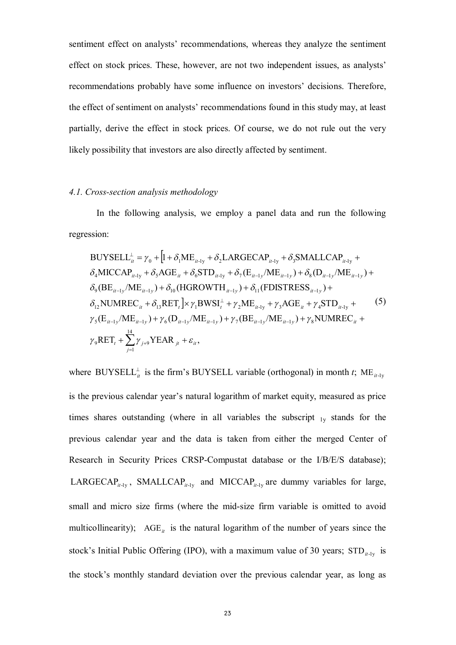sentiment effect on analysts' recommendations, whereas they analyze the sentiment effect on stock prices. These, however, are not two independent issues, as analysts' recommendations probably have some influence on investors' decisions. Therefore, the effect of sentiment on analysts' recommendations found in this study may, at least partially, derive the effect in stock prices. Of course, we do not rule out the very likely possibility that investors are also directly affected by sentiment.

### *4.1. Cross-section analysis methodology*

In the following analysis, we employ a panel data and run the following regression:

BUYSELL<sup>†</sup><sub>u</sub> = 
$$
\gamma_0 + [1 + \delta_1 ME_{u-1y} + \delta_2 LARGECAP_{u-1y} + \delta_3 SMALLCAP_{u-1y} + \delta_4 MICCAP_{u-1y} + \delta_5 AGE_u + \delta_6 STD_{u-1y} + \delta_7 (E_{u-1y}/ME_{u-1y}) + \delta_8 (D_{u-1y}/ME_{u-1y}) + \delta_9 (BE_{u-1y}/ME_{u-1y}) + \delta_{10} (HGROWTH_{u-1y}) + \delta_{11} (FDISTRESS_{u-1y}) + \delta_{12} NUMREC_u + \delta_{13} RET_t] \times \gamma_1 BWSI_t^{\perp} + \gamma_2 ME_{u-1y} + \gamma_3 AGE_u + \gamma_4 STD_{u-1y} + \gamma_5 (E_{u-1y}/ME_{u-1y}) + \gamma_6 (D_{u-1y}/ME_{u-1y}) + \gamma_7 (BE_{u-1y}/ME_{u-1y}) + \gamma_8 NUMREC_u + \gamma_9 RET_t + \sum_{j=1}^{14} \gamma_{j+9} YEAR_{jt} + \varepsilon_{it},
$$

where BUYSELL<sup> $\perp$ </sup> is the firm's BUYSELL variable (orthogonal) in month *t*; ME<sub>*it*-1y</sub> is the previous calendar year's natural logarithm of market equity, measured as price times shares outstanding (where in all variables the subscript  $_{1y}$  stands for the previous calendar year and the data is taken from either the merged Center of Research in Security Prices CRSP-Compustat database or the I/B/E/S database); LARGECAP<sub>*it*-1y</sub>, SMALLCAP<sub>*it-1y*</sub> and MICCAP<sub>*it-1y*</sub> are dummy variables for large, small and micro size firms (where the mid-size firm variable is omitted to avoid multicollinearity);  $AGE_{it}$  is the natural logarithm of the number of years since the stock's Initial Public Offering (IPO), with a maximum value of 30 years;  $\text{STD}_{it-1y}$  is the stock's monthly standard deviation over the previous calendar year, as long as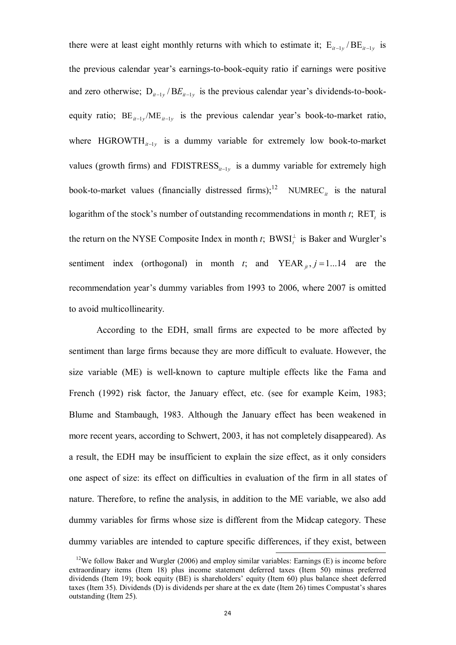there were at least eight monthly returns with which to estimate it;  $E_{it-1y}/BE_{it-1y}$  is the previous calendar year's earnings-to-book-equity ratio if earnings were positive and zero otherwise;  $D_{i t-1 y} / B E_{i t-1 y}$  is the previous calendar year's dividends-to-bookequity ratio;  $BE_{it-1y}/ME_{it-1y}$  is the previous calendar year's book-to-market ratio, where  $HGROWTH_{it-1y}$  is a dummy variable for extremely low book-to-market values (growth firms) and FDISTRESS<sub> $i_{t-1y}$ </sub> is a dummy variable for extremely high book-to-market values (financially distressed firms);<sup>12</sup> NUMREC<sub>*it*</sub> is the natural logarithm of the stock's number of outstanding recommendations in month  $t$ ;  $REF$ <sub>*t*</sub> is the return on the NYSE Composite Index in month *t*;  $BWSI_t^{\perp}$  is Baker and Wurgler's sentiment index (orthogonal) in month *t*; and YEAR  $_{it}$ ,  $j = 1...14$  are the recommendation year's dummy variables from 1993 to 2006, where 2007 is omitted to avoid multicollinearity.

According to the EDH, small firms are expected to be more affected by sentiment than large firms because they are more difficult to evaluate. However, the size variable (ME) is well-known to capture multiple effects like the Fama and French (1992) risk factor, the January effect, etc. (see for example Keim, 1983; Blume and Stambaugh, 1983. Although the January effect has been weakened in more recent years, according to Schwert, 2003, it has not completely disappeared). As a result, the EDH may be insufficient to explain the size effect, as it only considers one aspect of size: its effect on difficulties in evaluation of the firm in all states of nature. Therefore, to refine the analysis, in addition to the ME variable, we also add dummy variables for firms whose size is different from the Midcap category. These dummy variables are intended to capture specific differences, if they exist, between

-

<sup>&</sup>lt;sup>12</sup>We follow Baker and Wurgler (2006) and employ similar variables: Earnings (E) is income before extraordinary items (Item 18) plus income statement deferred taxes (Item 50) minus preferred dividends (Item 19); book equity (BE) is shareholders' equity (Item 60) plus balance sheet deferred taxes (Item 35). Dividends (D) is dividends per share at the ex date (Item 26) times Compustat's shares outstanding (Item 25).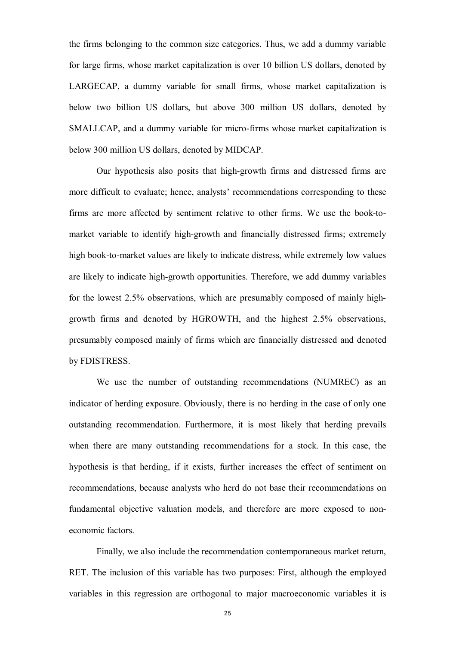the firms belonging to the common size categories. Thus, we add a dummy variable for large firms, whose market capitalization is over 10 billion US dollars, denoted by LARGECAP, a dummy variable for small firms, whose market capitalization is below two billion US dollars, but above 300 million US dollars, denoted by SMALLCAP, and a dummy variable for micro-firms whose market capitalization is below 300 million US dollars, denoted by MIDCAP.

Our hypothesis also posits that high-growth firms and distressed firms are more difficult to evaluate; hence, analysts' recommendations corresponding to these firms are more affected by sentiment relative to other firms. We use the book-tomarket variable to identify high-growth and financially distressed firms; extremely high book-to-market values are likely to indicate distress, while extremely low values are likely to indicate high-growth opportunities. Therefore, we add dummy variables for the lowest 2.5% observations, which are presumably composed of mainly highgrowth firms and denoted by HGROWTH, and the highest 2.5% observations, presumably composed mainly of firms which are financially distressed and denoted by FDISTRESS.

We use the number of outstanding recommendations (NUMREC) as an indicator of herding exposure. Obviously, there is no herding in the case of only one outstanding recommendation. Furthermore, it is most likely that herding prevails when there are many outstanding recommendations for a stock. In this case, the hypothesis is that herding, if it exists, further increases the effect of sentiment on recommendations, because analysts who herd do not base their recommendations on fundamental objective valuation models, and therefore are more exposed to noneconomic factors.

Finally, we also include the recommendation contemporaneous market return, RET. The inclusion of this variable has two purposes: First, although the employed variables in this regression are orthogonal to major macroeconomic variables it is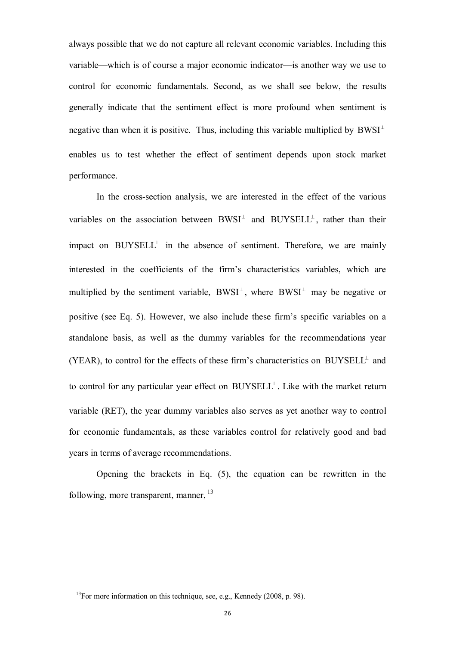always possible that we do not capture all relevant economic variables. Including this variable—which is of course a major economic indicator—is another way we use to control for economic fundamentals. Second, as we shall see below, the results generally indicate that the sentiment effect is more profound when sentiment is negative than when it is positive. Thus, including this variable multiplied by  $BWSI^{\perp}$ enables us to test whether the effect of sentiment depends upon stock market performance.

In the cross-section analysis, we are interested in the effect of the various variables on the association between  $BWSI^{\perp}$  and  $BUYSELL^{\perp}$ , rather than their impact on  $BUYSEL<sup>\perp</sup>$  in the absence of sentiment. Therefore, we are mainly interested in the coefficients of the firm's characteristics variables, which are multiplied by the sentiment variable,  $BWSI^{\perp}$ , where  $BWSI^{\perp}$  may be negative or positive (see Eq. 5). However, we also include these firm's specific variables on a standalone basis, as well as the dummy variables for the recommendations year (YEAR), to control for the effects of these firm's characteristics on  $BUYSEL<sup>\perp</sup>$  and to control for any particular year effect on  $\text{BUYSELL}^{\perp}$ . Like with the market return variable (RET), the year dummy variables also serves as yet another way to control for economic fundamentals, as these variables control for relatively good and bad years in terms of average recommendations.

Opening the brackets in Eq. (5), the equation can be rewritten in the following, more transparent, manner, <sup>13</sup>

j

 $13$ For more information on this technique, see, e.g., Kennedy (2008, p. 98).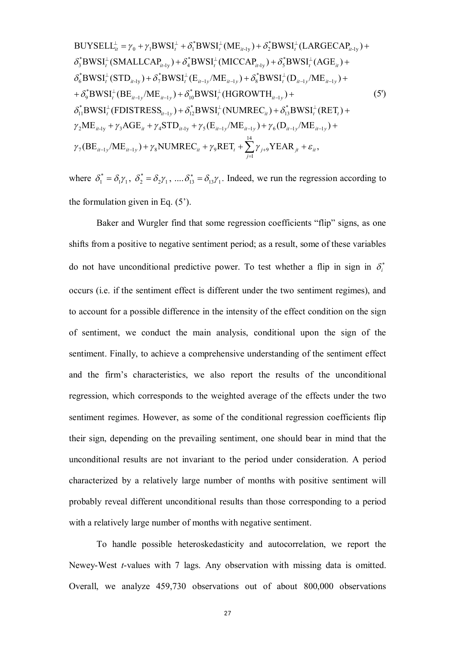BUYSEL
$$
L_{ii}^{\perp} = \gamma_0 + \gamma_1 BWSI_t^{\perp} + \delta_1^* BWSI_t^{\perp} (ME_{it-1y}) + \delta_2^* BWSI_t^{\perp} (LARGECAP_{it-1y}) + \n\delta_3^* BWSI_t^{\perp} (SMALLCAP_{it-1y}) + \delta_4^* BWSI_t^{\perp} (MICCP_{it-1y}) + \delta_5^* BWSI_t^{\perp} (AGE_{it}) + \n\delta_6^* BWSI_t^{\perp} (STD_{it-1y}) + \delta_7^* BWSI_t^{\perp} (E_{it-1y}/ME_{it-1y}) + \delta_8^* BWSI_t^{\perp} (D_{it-1y}/ME_{it-1y}) + \n+ \delta_9^* BWSI_t^{\perp} (BE_{it-1y}/ME_{it-1y}) + \delta_{10}^* BWSI_t^{\perp} (HGROWTH_{it-1y}) + \n\delta_{11}^* BWSI_t^{\perp} (FDISTRES_{it-1y}) + \delta_{12}^* BWSI_t^{\perp} (NUMREC_{it}) + \delta_{13}^* BWSI_t^{\perp} (RET_t) + \n\gamma_2 ME_{it-1y} + \gamma_3 AGE_{it} + \gamma_4 STD_{it-1y} + \gamma_5 (E_{it-1y}/ME_{it-1y}) + \gamma_6 (D_{it-1y}/ME_{it-1y}) + \n\gamma_7 (BE_{it-1y}/ME_{it-1y}) + \gamma_8 NUMREC_{it} + \gamma_9 RET_t + \sum_{j=1}^{14} \gamma_{j+9} YEAR_{jt} + \varepsilon_{it},
$$

where  $\delta_1^* = \delta_1 \gamma_1$  $\delta_1^* = \delta_1 \gamma_1, \ \delta_2^* = \delta_2 \gamma_1$  $\delta_2^* = \delta_2 \gamma_1$ , ....  $\delta_{13}^* = \delta_{13} \gamma_1$ . Indeed, we run the regression according to the formulation given in Eq.  $(5)$ .

Baker and Wurgler find that some regression coefficients "flip" signs, as one shifts from a positive to negative sentiment period; as a result, some of these variables do not have unconditional predictive power. To test whether a flip in sign in  $\delta_i^*$ occurs (i.e. if the sentiment effect is different under the two sentiment regimes), and to account for a possible difference in the intensity of the effect condition on the sign of sentiment, we conduct the main analysis, conditional upon the sign of the sentiment. Finally, to achieve a comprehensive understanding of the sentiment effect and the firm's characteristics, we also report the results of the unconditional regression, which corresponds to the weighted average of the effects under the two sentiment regimes. However, as some of the conditional regression coefficients flip their sign, depending on the prevailing sentiment, one should bear in mind that the unconditional results are not invariant to the period under consideration. A period characterized by a relatively large number of months with positive sentiment will probably reveal different unconditional results than those corresponding to a period with a relatively large number of months with negative sentiment.

To handle possible heteroskedasticity and autocorrelation, we report the Newey-West *t*-values with 7 lags. Any observation with missing data is omitted. Overall, we analyze 459,730 observations out of about 800,000 observations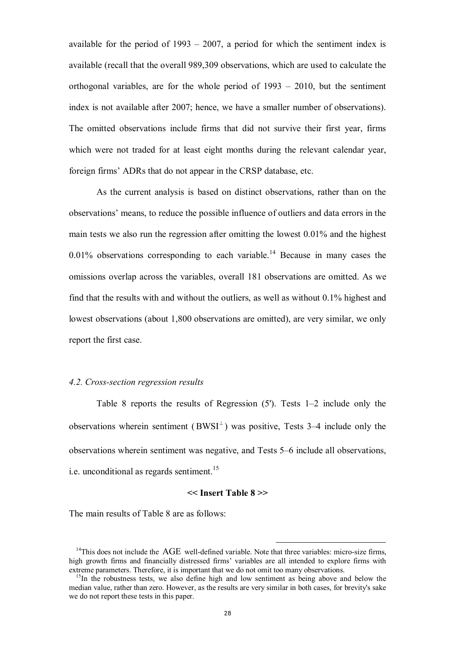available for the period of 1993 – 2007, a period for which the sentiment index is available (recall that the overall 989,309 observations, which are used to calculate the orthogonal variables, are for the whole period of 1993 – 2010, but the sentiment index is not available after 2007; hence, we have a smaller number of observations). The omitted observations include firms that did not survive their first year, firms which were not traded for at least eight months during the relevant calendar year, foreign firms' ADRs that do not appear in the CRSP database, etc.

As the current analysis is based on distinct observations, rather than on the observations' means, to reduce the possible influence of outliers and data errors in the main tests we also run the regression after omitting the lowest 0.01% and the highest  $0.01\%$  observations corresponding to each variable.<sup>14</sup> Because in many cases the omissions overlap across the variables, overall 181 observations are omitted. As we find that the results with and without the outliers, as well as without 0.1% highest and lowest observations (about 1,800 observations are omitted), are very similar, we only report the first case.

### *4.2. Cross-section regression results*

Table 8 reports the results of Regression (5'). Tests 1–2 include only the observations wherein sentiment ( $BWSI^{\perp}$ ) was positive, Tests 3–4 include only the observations wherein sentiment was negative, and Tests 5–6 include all observations, i.e. unconditional as regards sentiment.<sup>15</sup>

### **<< Insert Table 8 >>**

The main results of Table 8 are as follows:

j

 $14$ This does not include the  $\overline{AGE}$  well-defined variable. Note that three variables: micro-size firms, high growth firms and financially distressed firms' variables are all intended to explore firms with extreme parameters. Therefore, it is important that we do not omit too many observations.

 $15$ In the robustness tests, we also define high and low sentiment as being above and below the median value, rather than zero. However, as the results are very similar in both cases, for brevity's sake we do not report these tests in this paper.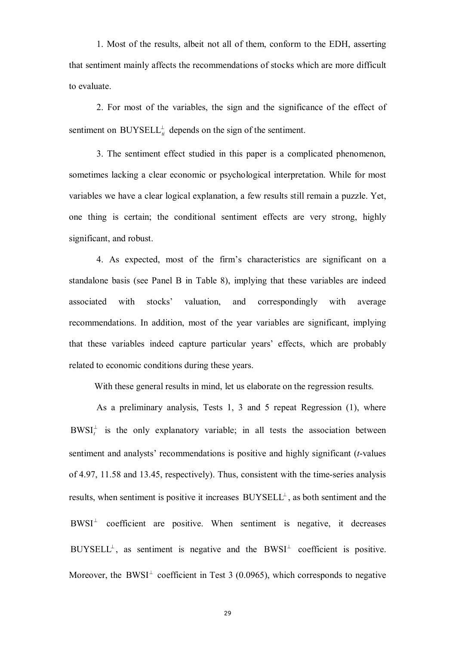1. Most of the results, albeit not all of them, conform to the EDH, asserting that sentiment mainly affects the recommendations of stocks which are more difficult to evaluate.

2. For most of the variables, the sign and the significance of the effect of sentiment on  $\text{BUYSELL}_{\mu}^{\perp}$  depends on the sign of the sentiment.

3. The sentiment effect studied in this paper is a complicated phenomenon, sometimes lacking a clear economic or psychological interpretation. While for most variables we have a clear logical explanation, a few results still remain a puzzle. Yet, one thing is certain; the conditional sentiment effects are very strong, highly significant, and robust.

4. As expected, most of the firm's characteristics are significant on a standalone basis (see Panel B in Table 8), implying that these variables are indeed associated with stocks' valuation, and correspondingly with average recommendations. In addition, most of the year variables are significant, implying that these variables indeed capture particular years' effects, which are probably related to economic conditions during these years.

With these general results in mind, let us elaborate on the regression results.

As a preliminary analysis, Tests 1, 3 and 5 repeat Regression (1), where  $BWSI_t^{\perp}$  is the only explanatory variable; in all tests the association between sentiment and analysts' recommendations is positive and highly significant (*t*-values of 4.97, 11.58 and 13.45, respectively). Thus, consistent with the time-series analysis results, when sentiment is positive it increases  $BUYSEL<sup>L</sup>$ , as both sentiment and the  $BWSI<sup>\perp</sup>$  coefficient are positive. When sentiment is negative, it decreases  $BUYSEL<sup>+</sup>$ , as sentiment is negative and the  $BWSI<sup>+</sup>$  coefficient is positive. Moreover, the BWSI<sup> $\perp$ </sup> coefficient in Test 3 (0.0965), which corresponds to negative

29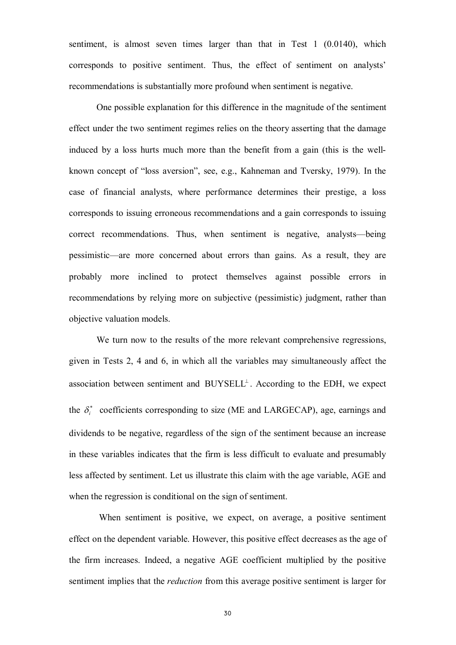sentiment, is almost seven times larger than that in Test 1 (0.0140), which corresponds to positive sentiment. Thus, the effect of sentiment on analysts' recommendations is substantially more profound when sentiment is negative.

One possible explanation for this difference in the magnitude of the sentiment effect under the two sentiment regimes relies on the theory asserting that the damage induced by a loss hurts much more than the benefit from a gain (this is the wellknown concept of "loss aversion", see, e.g., Kahneman and Tversky, 1979). In the case of financial analysts, where performance determines their prestige, a loss corresponds to issuing erroneous recommendations and a gain corresponds to issuing correct recommendations. Thus, when sentiment is negative, analysts—being pessimistic—are more concerned about errors than gains. As a result, they are probably more inclined to protect themselves against possible errors in recommendations by relying more on subjective (pessimistic) judgment, rather than objective valuation models.

We turn now to the results of the more relevant comprehensive regressions, given in Tests 2, 4 and 6, in which all the variables may simultaneously affect the association between sentiment and  $BUYSEL<sup>\perp</sup>$ . According to the EDH, we expect the  $\delta_i^*$  coefficients corresponding to size (ME and LARGECAP), age, earnings and dividends to be negative, regardless of the sign of the sentiment because an increase in these variables indicates that the firm is less difficult to evaluate and presumably less affected by sentiment. Let us illustrate this claim with the age variable, AGE and when the regression is conditional on the sign of sentiment.

 When sentiment is positive, we expect, on average, a positive sentiment effect on the dependent variable. However, this positive effect decreases as the age of the firm increases. Indeed, a negative AGE coefficient multiplied by the positive sentiment implies that the *reduction* from this average positive sentiment is larger for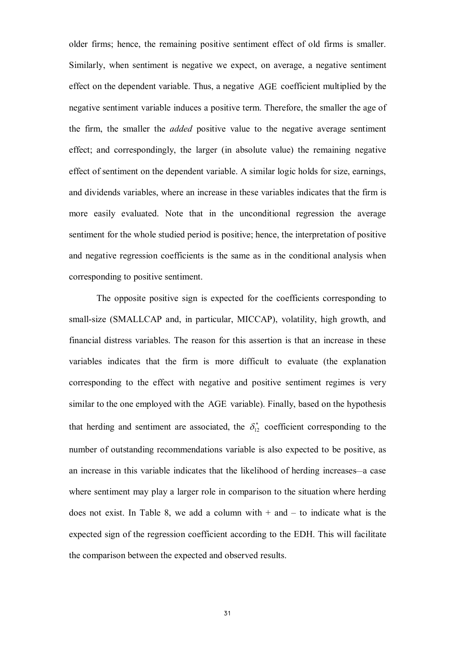older firms; hence, the remaining positive sentiment effect of old firms is smaller. Similarly, when sentiment is negative we expect, on average, a negative sentiment effect on the dependent variable. Thus, a negative AGE coefficient multiplied by the negative sentiment variable induces a positive term. Therefore, the smaller the age of the firm, the smaller the *added* positive value to the negative average sentiment effect; and correspondingly, the larger (in absolute value) the remaining negative effect of sentiment on the dependent variable. A similar logic holds for size, earnings, and dividends variables, where an increase in these variables indicates that the firm is more easily evaluated. Note that in the unconditional regression the average sentiment for the whole studied period is positive; hence, the interpretation of positive and negative regression coefficients is the same as in the conditional analysis when corresponding to positive sentiment.

The opposite positive sign is expected for the coefficients corresponding to small-size (SMALLCAP and, in particular, MICCAP), volatility, high growth, and financial distress variables. The reason for this assertion is that an increase in these variables indicates that the firm is more difficult to evaluate (the explanation corresponding to the effect with negative and positive sentiment regimes is very similar to the one employed with the AGE variable). Finally, based on the hypothesis that herding and sentiment are associated, the  $\delta_{12}^*$  coefficient corresponding to the number of outstanding recommendations variable is also expected to be positive, as an increase in this variable indicates that the likelihood of herding increases*—*a case where sentiment may play a larger role in comparison to the situation where herding does not exist. In Table 8, we add a column with  $+$  and  $-$  to indicate what is the expected sign of the regression coefficient according to the EDH. This will facilitate the comparison between the expected and observed results.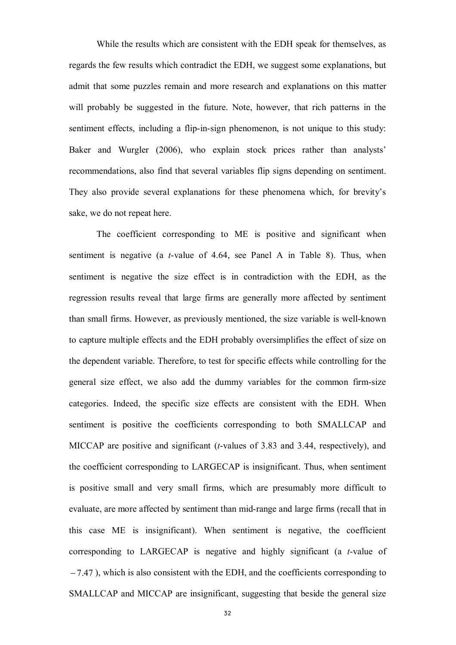While the results which are consistent with the EDH speak for themselves, as regards the few results which contradict the EDH, we suggest some explanations, but admit that some puzzles remain and more research and explanations on this matter will probably be suggested in the future. Note, however, that rich patterns in the sentiment effects, including a flip-in-sign phenomenon, is not unique to this study: Baker and Wurgler (2006), who explain stock prices rather than analysts' recommendations, also find that several variables flip signs depending on sentiment. They also provide several explanations for these phenomena which, for brevity's sake, we do not repeat here.

The coefficient corresponding to ME is positive and significant when sentiment is negative (a *t*-value of 4.64, see Panel A in Table 8). Thus, when sentiment is negative the size effect is in contradiction with the EDH, as the regression results reveal that large firms are generally more affected by sentiment than small firms. However, as previously mentioned, the size variable is well-known to capture multiple effects and the EDH probably oversimplifies the effect of size on the dependent variable. Therefore, to test for specific effects while controlling for the general size effect, we also add the dummy variables for the common firm-size categories. Indeed, the specific size effects are consistent with the EDH. When sentiment is positive the coefficients corresponding to both SMALLCAP and MICCAP are positive and significant (*t*-values of 3.83 and 3.44, respectively), and the coefficient corresponding to LARGECAP is insignificant. Thus, when sentiment is positive small and very small firms, which are presumably more difficult to evaluate, are more affected by sentiment than mid-range and large firms (recall that in this case ME is insignificant). When sentiment is negative, the coefficient corresponding to LARGECAP is negative and highly significant (a *t*-value of  $-7.47$ ), which is also consistent with the EDH, and the coefficients corresponding to SMALLCAP and MICCAP are insignificant, suggesting that beside the general size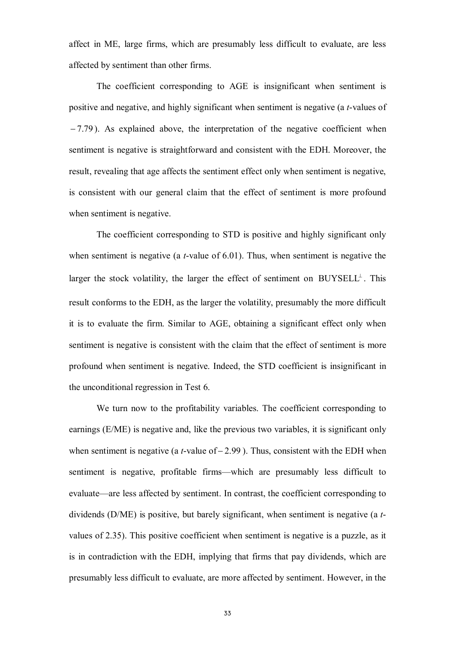affect in ME, large firms, which are presumably less difficult to evaluate, are less affected by sentiment than other firms.

The coefficient corresponding to AGE is insignificant when sentiment is positive and negative, and highly significant when sentiment is negative (a *t*-values of  $-7.79$ ). As explained above, the interpretation of the negative coefficient when sentiment is negative is straightforward and consistent with the EDH. Moreover, the result, revealing that age affects the sentiment effect only when sentiment is negative, is consistent with our general claim that the effect of sentiment is more profound when sentiment is negative.

The coefficient corresponding to STD is positive and highly significant only when sentiment is negative (a *t*-value of 6.01). Thus, when sentiment is negative the larger the stock volatility, the larger the effect of sentiment on  $\text{BUYSELL}^{\perp}$ . This result conforms to the EDH, as the larger the volatility, presumably the more difficult it is to evaluate the firm. Similar to AGE, obtaining a significant effect only when sentiment is negative is consistent with the claim that the effect of sentiment is more profound when sentiment is negative. Indeed, the STD coefficient is insignificant in the unconditional regression in Test 6.

We turn now to the profitability variables. The coefficient corresponding to earnings (E/ME) is negative and, like the previous two variables, it is significant only when sentiment is negative (a  $t$ -value of  $-2.99$ ). Thus, consistent with the EDH when sentiment is negative, profitable firms—which are presumably less difficult to evaluate—are less affected by sentiment. In contrast, the coefficient corresponding to dividends (D/ME) is positive, but barely significant, when sentiment is negative (a *t*values of 2.35). This positive coefficient when sentiment is negative is a puzzle, as it is in contradiction with the EDH, implying that firms that pay dividends, which are presumably less difficult to evaluate, are more affected by sentiment. However, in the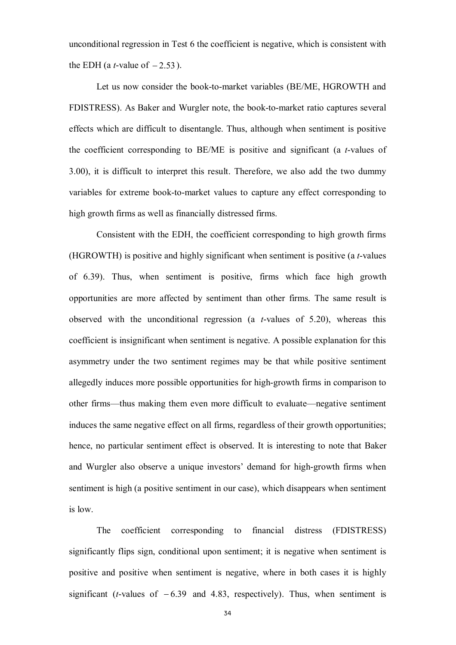unconditional regression in Test 6 the coefficient is negative, which is consistent with the EDH (a *t*-value of  $-2.53$ ).

Let us now consider the book-to-market variables (BE/ME, HGROWTH and FDISTRESS). As Baker and Wurgler note, the book-to-market ratio captures several effects which are difficult to disentangle. Thus, although when sentiment is positive the coefficient corresponding to BE/ME is positive and significant (a *t*-values of 3.00), it is difficult to interpret this result. Therefore, we also add the two dummy variables for extreme book-to-market values to capture any effect corresponding to high growth firms as well as financially distressed firms.

Consistent with the EDH, the coefficient corresponding to high growth firms (HGROWTH) is positive and highly significant when sentiment is positive (a *t*-values of 6.39). Thus, when sentiment is positive, firms which face high growth opportunities are more affected by sentiment than other firms. The same result is observed with the unconditional regression (a *t*-values of 5.20), whereas this coefficient is insignificant when sentiment is negative. A possible explanation for this asymmetry under the two sentiment regimes may be that while positive sentiment allegedly induces more possible opportunities for high-growth firms in comparison to other firms—thus making them even more difficult to evaluate—negative sentiment induces the same negative effect on all firms, regardless of their growth opportunities; hence, no particular sentiment effect is observed. It is interesting to note that Baker and Wurgler also observe a unique investors' demand for high-growth firms when sentiment is high (a positive sentiment in our case), which disappears when sentiment is low.

The coefficient corresponding to financial distress (FDISTRESS) significantly flips sign, conditional upon sentiment; it is negative when sentiment is positive and positive when sentiment is negative, where in both cases it is highly significant (*t*-values of  $-6.39$  and 4.83, respectively). Thus, when sentiment is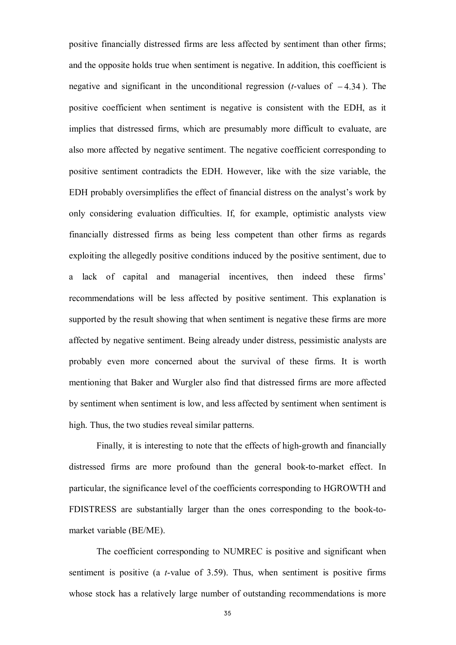positive financially distressed firms are less affected by sentiment than other firms; and the opposite holds true when sentiment is negative. In addition, this coefficient is negative and significant in the unconditional regression (*t*-values of  $-4.34$ ). The positive coefficient when sentiment is negative is consistent with the EDH, as it implies that distressed firms, which are presumably more difficult to evaluate, are also more affected by negative sentiment. The negative coefficient corresponding to positive sentiment contradicts the EDH. However, like with the size variable, the EDH probably oversimplifies the effect of financial distress on the analyst's work by only considering evaluation difficulties. If, for example, optimistic analysts view financially distressed firms as being less competent than other firms as regards exploiting the allegedly positive conditions induced by the positive sentiment, due to a lack of capital and managerial incentives, then indeed these firms' recommendations will be less affected by positive sentiment. This explanation is supported by the result showing that when sentiment is negative these firms are more affected by negative sentiment. Being already under distress, pessimistic analysts are probably even more concerned about the survival of these firms. It is worth mentioning that Baker and Wurgler also find that distressed firms are more affected by sentiment when sentiment is low, and less affected by sentiment when sentiment is high. Thus, the two studies reveal similar patterns.

Finally, it is interesting to note that the effects of high-growth and financially distressed firms are more profound than the general book-to-market effect. In particular, the significance level of the coefficients corresponding to HGROWTH and FDISTRESS are substantially larger than the ones corresponding to the book-tomarket variable (BE/ME).

The coefficient corresponding to NUMREC is positive and significant when sentiment is positive (a *t*-value of 3.59). Thus, when sentiment is positive firms whose stock has a relatively large number of outstanding recommendations is more

35 and the contract of the contract of the contract of the contract of the contract of the contract of the contract of the contract of the contract of the contract of the contract of the contract of the contract of the con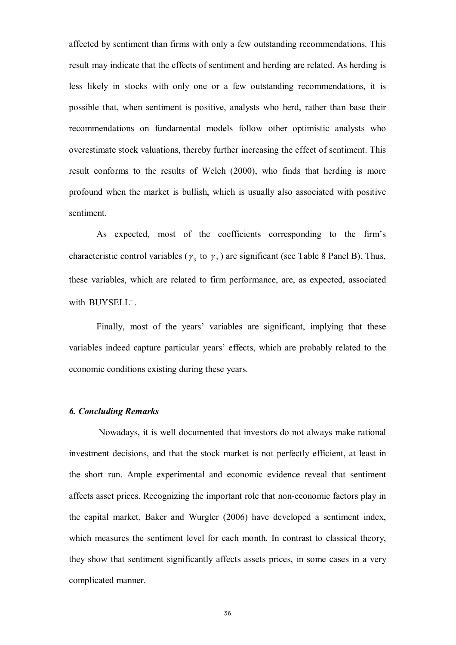affected by sentiment than firms with only a few outstanding recommendations. This result may indicate that the effects of sentiment and herding are related. As herding is less likely in stocks with only one or a few outstanding recommendations, it is possible that, when sentiment is positive, analysts who herd, rather than base their recommendations on fundamental models follow other optimistic analysts who overestimate stock valuations, thereby further increasing the effect of sentiment. This result conforms to the results of Welch (2000), who finds that herding is more profound when the market is bullish, which is usually also associated with positive sentiment.

As expected, most of the coefficients corresponding to the firm's characteristic control variables ( $\gamma_3$  to  $\gamma_7$ ) are significant (see Table 8 Panel B). Thus, these variables, which are related to firm performance, are, as expected, associated with  $\text{BUYSELL}^{\perp}$ .

Finally, most of the years' variables are significant, implying that these variables indeed capture particular years' effects, which are probably related to the economic conditions existing during these years.

## *6. Concluding Remarks*

Nowadays, it is well documented that investors do not always make rational investment decisions, and that the stock market is not perfectly efficient, at least in the short run. Ample experimental and economic evidence reveal that sentiment affects asset prices. Recognizing the important role that non-economic factors play in the capital market, Baker and Wurgler (2006) have developed a sentiment index, which measures the sentiment level for each month. In contrast to classical theory, they show that sentiment significantly affects assets prices, in some cases in a very complicated manner.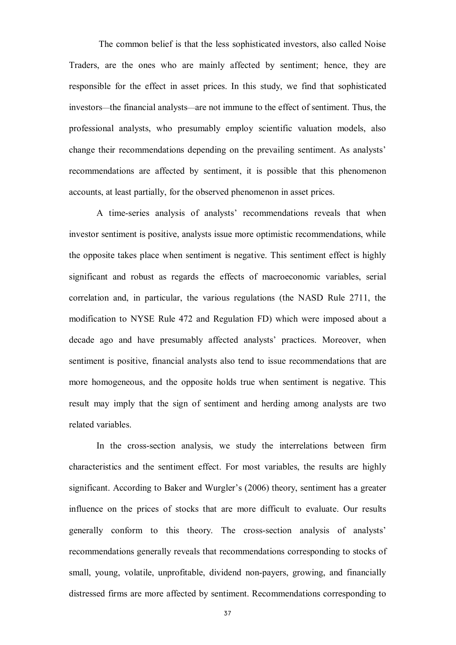The common belief is that the less sophisticated investors, also called Noise Traders, are the ones who are mainly affected by sentiment; hence, they are responsible for the effect in asset prices. In this study, we find that sophisticated investors—the financial analysts—are not immune to the effect of sentiment. Thus, the professional analysts, who presumably employ scientific valuation models, also change their recommendations depending on the prevailing sentiment. As analysts' recommendations are affected by sentiment, it is possible that this phenomenon accounts, at least partially, for the observed phenomenon in asset prices.

A time-series analysis of analysts' recommendations reveals that when investor sentiment is positive, analysts issue more optimistic recommendations, while the opposite takes place when sentiment is negative. This sentiment effect is highly significant and robust as regards the effects of macroeconomic variables, serial correlation and, in particular, the various regulations (the NASD Rule 2711, the modification to NYSE Rule 472 and Regulation FD) which were imposed about a decade ago and have presumably affected analysts' practices. Moreover, when sentiment is positive, financial analysts also tend to issue recommendations that are more homogeneous, and the opposite holds true when sentiment is negative. This result may imply that the sign of sentiment and herding among analysts are two related variables.

In the cross-section analysis, we study the interrelations between firm characteristics and the sentiment effect. For most variables, the results are highly significant. According to Baker and Wurgler's (2006) theory, sentiment has a greater influence on the prices of stocks that are more difficult to evaluate. Our results generally conform to this theory. The cross-section analysis of analysts' recommendations generally reveals that recommendations corresponding to stocks of small, young, volatile, unprofitable, dividend non-payers, growing, and financially distressed firms are more affected by sentiment. Recommendations corresponding to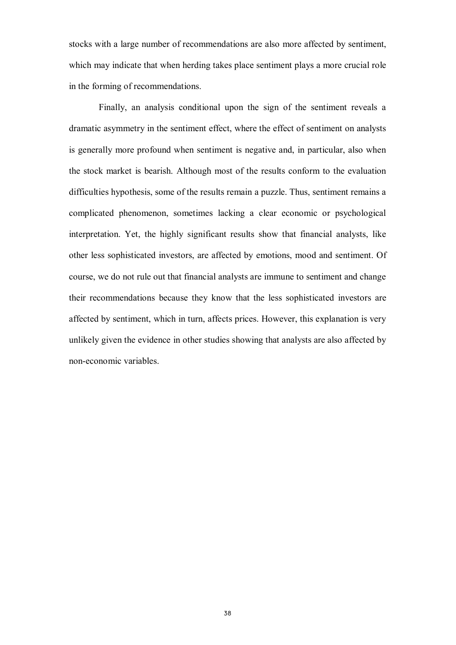stocks with a large number of recommendations are also more affected by sentiment, which may indicate that when herding takes place sentiment plays a more crucial role in the forming of recommendations.

Finally, an analysis conditional upon the sign of the sentiment reveals a dramatic asymmetry in the sentiment effect, where the effect of sentiment on analysts is generally more profound when sentiment is negative and, in particular, also when the stock market is bearish. Although most of the results conform to the evaluation difficulties hypothesis, some of the results remain a puzzle. Thus, sentiment remains a complicated phenomenon, sometimes lacking a clear economic or psychological interpretation. Yet, the highly significant results show that financial analysts, like other less sophisticated investors, are affected by emotions, mood and sentiment. Of course, we do not rule out that financial analysts are immune to sentiment and change their recommendations because they know that the less sophisticated investors are affected by sentiment, which in turn, affects prices. However, this explanation is very unlikely given the evidence in other studies showing that analysts are also affected by non-economic variables.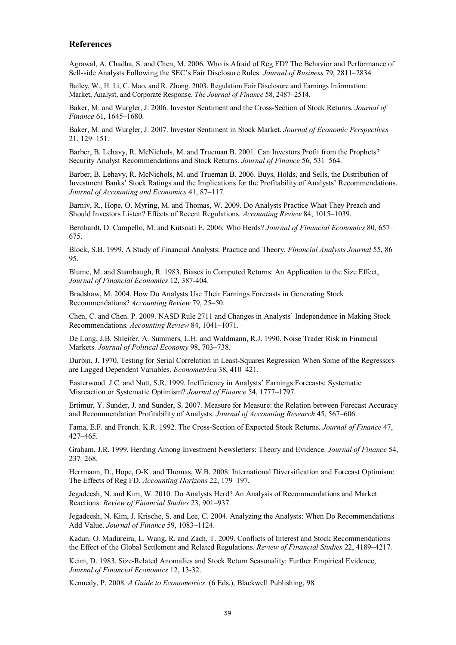#### **References**

Agrawal, A. Chadha, S. and Chen, M. 2006. Who is Afraid of Reg FD? The Behavior and Performance of Sell-side Analysts Following the SEC's Fair Disclosure Rules. *Journal of Business* 79, 2811–2834.

Bailey, W., H. Li, C. Mao, and R. Zhong. 2003. Regulation Fair Disclosure and Earnings Information: Market, Analyst, and Corporate Response. *The Journal of Finance* 58, 2487–2514.

Baker, M. and Wurgler, J. 2006. Investor Sentiment and the Cross-Section of Stock Returns. *Journal of Finance* 61, 1645–1680.

Baker, M. and Wurgler, J. 2007. Investor Sentiment in Stock Market. *Journal of Economic Perspectives* 21, 129–151.

Barber, B. Lehavy, R. McNichols, M. and Trueman B. 2001. Can Investors Profit from the Prophets? Security Analyst Recommendations and Stock Returns. *Journal of Finance* 56, 531–564.

Barber, B. Lehavy, R. McNichols, M. and Trueman B. 2006. Buys, Holds, and Sells, the Distribution of Investment Banks' Stock Ratings and the Implications for the Profitability of Analysts' Recommendations. *Journal of Accounting and Economics* 41, 87–117.

Barniv, R., Hope, O. Myring, M. and Thomas, W. 2009. Do Analysts Practice What They Preach and Should Investors Listen? Effects of Recent Regulations. *Accounting Review* 84, 1015–1039.

Bernhardt, D. Campello, M. and Kutsoati E. 2006. Who Herds? *Journal of Financial Economics* 80, 657– 675.

Block, S.B. 1999. A Study of Financial Analysts: Practice and Theory. *Financial Analysts Journal* 55, 86– 95.

Blume, M. and Stambaugh, R. 1983. Biases in Computed Returns: An Application to the Size Effect, *Journal of Financial Economics* 12, 387-404.

Bradshaw, M. 2004. How Do Analysts Use Their Earnings Forecasts in Generating Stock Recommendations? *Accounting Review* 79, 25–50.

Chen, C. and Chen. P. 2009. NASD Rule 2711 and Changes in Analysts' Independence in Making Stock Recommendations. *Accounting Review* 84, 1041–1071.

De Long, J.B. Shleifer, A. Summers, L.H. and Waldmann, R.J. 1990. Noise Trader Risk in Financial Markets. *Journal of Political Economy* 98, 703–738.

Durbin, J. 1970. Testing for Serial Correlation in Least-Squares Regression When Some of the Regressors are Lagged Dependent Variables. *Econometrica* 38, 410–421.

Easterwood. J.C. and Nutt, S.R. 1999. Inefficiency in Analysts' Earnings Forecasts: Systematic Misreaction or Systematic Optimism? *Journal of Finance* 54, 1777–1797.

Ertimur, Y. Sunder, J. and Sunder, S. 2007. Measure for Measure: the Relation between Forecast Accuracy and Recommendation Profitability of Analysts. *Journal of Accounting Research* 45, 567–606.

Fama, E.F. and French. K.R. 1992. The Cross-Section of Expected Stock Returns. *Journal of Finance* 47, 427–465.

Graham, J.R. 1999. Herding Among Investment Newsletters: Theory and Evidence. *Journal of Finance* 54, 237–268.

Herrmann, D., Hope, O-K. and Thomas, W.B. 2008. International Diversification and Forecast Optimism: The Effects of Reg FD. *Accounting Horizons* 22, 179–197.

Jegadeesh, N. and Kim, W. 2010. Do Analysts Herd? An Analysis of Recommendations and Market Reactions. *Review of Financial Studies* 23, 901–937.

Jegadeesh, N. Kim, J. Krische, S. and Lee, C. 2004. Analyzing the Analysts: When Do Recommendations Add Value. *Journal of Finance* 59, 1083–1124.

Kadan, O. Madureira, L. Wang, R. and Zach, T. 2009. Conflicts of Interest and Stock Recommendations – the Effect of the Global Settlement and Related Regulations. *Review of Financial Studies* 22, 4189–4217.

Keim, D. 1983. Size-Related Anomalies and Stock Return Seasonality: Further Empirical Evidence, *Journal of Financial Economics* 12, 13-32.

Kennedy, P. 2008. *A Guide to Econometrics*. (6 Eds.), Blackwell Publishing, 98.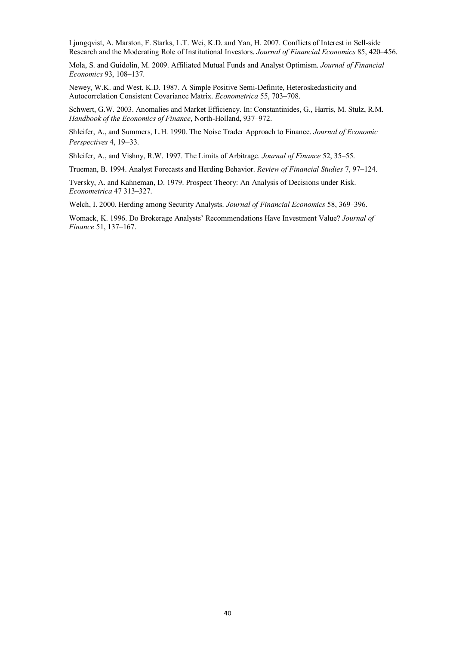Ljungqvist, A. Marston, F. Starks, L.T. Wei, K.D. and Yan, H. 2007. Conflicts of Interest in Sell-side Research and the Moderating Role of Institutional Investors. *Journal of Financial Economics* 85, 420–456.

Mola, S. and Guidolin, M. 2009. Affiliated Mutual Funds and Analyst Optimism. *Journal of Financial Economics* 93, 108–137.

Newey, W.K. and West, K.D. 1987. A Simple Positive Semi-Definite, Heteroskedasticity and Autocorrelation Consistent Covariance Matrix. *Econometrica* 55, 703–708.

Schwert, G.W. 2003. Anomalies and Market Efficiency. In: Constantinides, G., Harris, M. Stulz, R.M. *Handbook of the Economics of Finance*, North-Holland, 937–972.

Shleifer, A., and Summers, L.H. 1990. The Noise Trader Approach to Finance. *Journal of Economic Perspectives* 4, 19–33.

Shleifer, A., and Vishny, R.W. 1997. The Limits of Arbitrage*. Journal of Finance* 52, 35–55.

Trueman, B. 1994. Analyst Forecasts and Herding Behavior. *Review of Financial Studies* 7, 97–124.

Tversky, A. and Kahneman, D. 1979. Prospect Theory: An Analysis of Decisions under Risk. *Econometrica* 47 313–327.

Welch, I. 2000. Herding among Security Analysts. *Journal of Financial Economics* 58, 369–396.

Womack, K. 1996. Do Brokerage Analysts' Recommendations Have Investment Value? *Journal of Finance* 51, 137–167.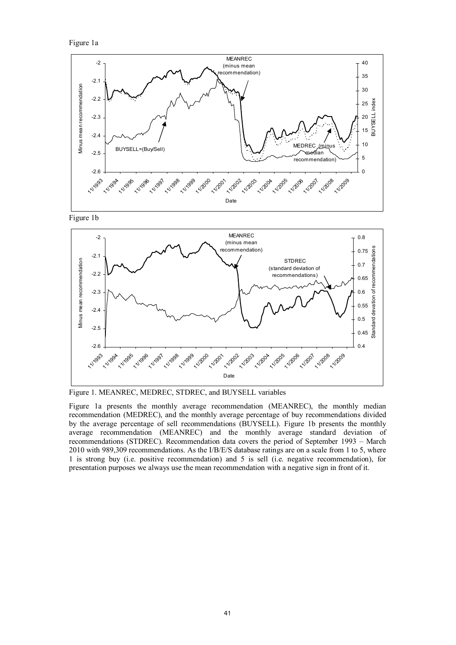Figure 1a



Figure 1b



Figure 1. MEANREC, MEDREC, STDREC, and BUYSELL variables

Figure 1a presents the monthly average recommendation (MEANREC), the monthly median recommendation (MEDREC), and the monthly average percentage of buy recommendations divided by the average percentage of sell recommendations (BUYSELL). Figure 1b presents the monthly average recommendation (MEANREC) and the monthly average standard deviation of recommendations (STDREC). Recommendation data covers the period of September 1993 – March 2010 with 989,309 recommendations. As the I/B/E/S database ratings are on a scale from 1 to 5, where 1 is strong buy (i.e. positive recommendation) and 5 is sell (i.e. negative recommendation), for presentation purposes we always use the mean recommendation with a negative sign in front of it.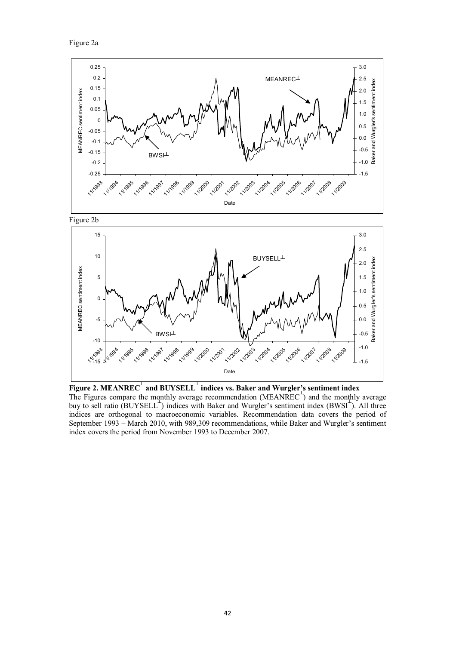Figure 2a



**Figure 2. MEANREC┴ and BUYSELL┴ indices vs. Baker and Wurgler's sentiment index** The Figures compare the monthly average recommendation (MEANREC<sup> $+$ </sup>) and the monthly average buy to sell ratio (BUYSELL<sup>+</sup>) indices with Baker and Wurgler's sentiment index (BWSI<sup>+</sup>). All three indices are orthogonal to macroeconomic variables. Recommendation data covers the period of September 1993 – March 2010, with 989,309 recommendations, while Baker and Wurgler's sentiment index covers the period from November 1993 to December 2007.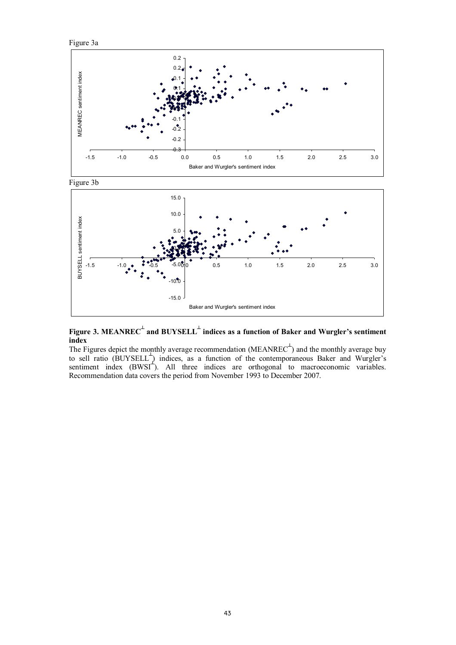



**Figure 3. MEANREC┴ and BUYSELL┴ indices as a function of Baker and Wurgler's sentiment index**

The Figures depict the monthly average recommendation (MEANREC $\overline{C}$ ) and the monthly average buy to sell ratio (BUYSELL<sup>+</sup>) indices, as a function of the contemporaneous Baker and Wurgler's sentiment index (BWSI<sup><sup>+</sup>).</sup> All three indices are orthogonal to macroeconomic variables. Recommendation data covers the period from November 1993 to December 2007.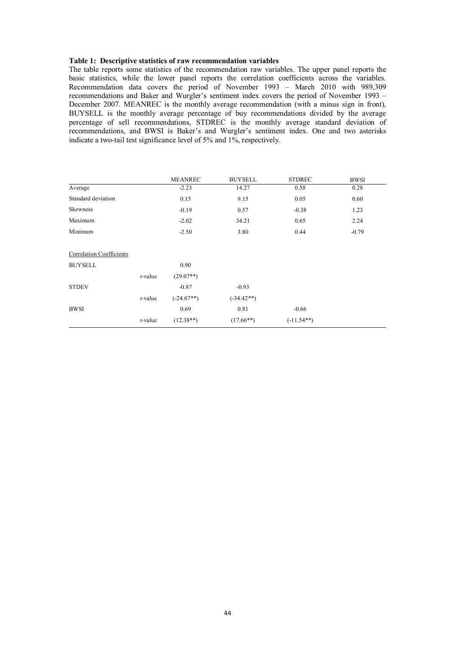#### **Table 1: Descriptive statistics of raw recommendation variables**

The table reports some statistics of the recommendation raw variables. The upper panel reports the basic statistics, while the lower panel reports the correlation coefficients across the variables. Recommendation data covers the period of November 1993 – March 2010 with 989,309 recommendations and Baker and Wurgler's sentiment index covers the period of November 1993 – December 2007. MEANREC is the monthly average recommendation (with a minus sign in front), BUYSELL is the monthly average percentage of buy recommendations divided by the average percentage of sell recommendations, STDREC is the monthly average standard deviation of recommendations, and BWSI is Baker's and Wurgler's sentiment index. One and two asterisks indicate a two-tail test significance level of 5% and 1%, respectively.

|                                 |         | <b>MEANREC</b> | <b>BUYSELL</b> | <b>STDREC</b> | <b>BWSI</b> |
|---------------------------------|---------|----------------|----------------|---------------|-------------|
| Average                         |         | $-2.23$        | 14.27          | 0.58          | 0.28        |
| Standard deviation              |         | 0.15           | 9.15           | 0.05          | 0.60        |
| Skewness                        |         | $-0.19$        | 0.57           | $-0.38$       | 1.23        |
| Maximum                         |         | $-2.02$        | 34.21          | 0.65          | 2.24        |
| Minimum                         |         | $-2.50$        | 3.80           | 0.44          | $-0.79$     |
| <b>Correlation Coefficients</b> |         |                |                |               |             |
| <b>BUYSELL</b>                  |         | 0.90           |                |               |             |
|                                 | t-value | $(29.07**)$    |                |               |             |
| <b>STDEV</b>                    |         | $-0.87$        | $-0.93$        |               |             |
|                                 | t-value | $(-24.67**)$   | $(-34.42**)$   |               |             |
| <b>BWSI</b>                     |         | 0.69           | 0.81           | $-0.66$       |             |
|                                 | t-value | $(12.38**)$    | $(17.66**)$    | $(-11.54**)$  |             |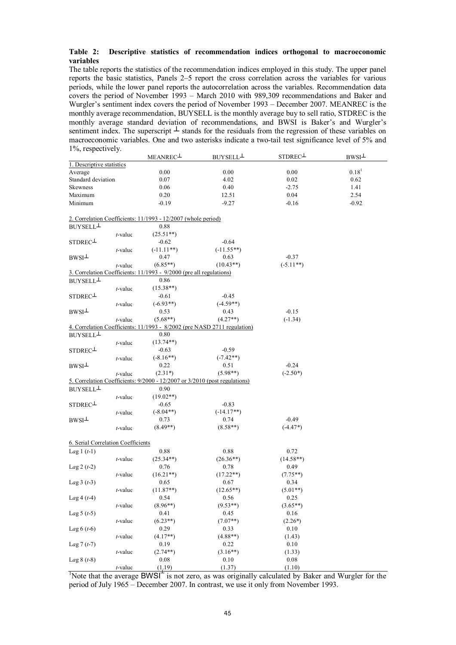#### **Table 2: Descriptive statistics of recommendation indices orthogonal to macroeconomic variables**

The table reports the statistics of the recommendation indices employed in this study. The upper panel reports the basic statistics, Panels 2–5 report the cross correlation across the variables for various periods, while the lower panel reports the autocorrelation across the variables. Recommendation data covers the period of November 1993 – March 2010 with 989,309 recommendations and Baker and Wurgler's sentiment index covers the period of November 1993 – December 2007. MEANREC is the monthly average recommendation, BUYSELL is the monthly average buy to sell ratio, STDREC is the monthly average standard deviation of recommendations, and BWSI is Baker's and Wurgler's sentiment index. The superscript  $\perp$  stands for the residuals from the regression of these variables on macroeconomic variables. One and two asterisks indicate a two-tail test significance level of 5% and 1%, respectively.

| $1, 0, 1$ vop vert ville           |            | MEANREC                                                                    | BUYSELL <sup>1</sup> | STDREC <sup>1</sup> | $BWSI\perp$       |
|------------------------------------|------------|----------------------------------------------------------------------------|----------------------|---------------------|-------------------|
| 1. Descriptive statistics          |            |                                                                            |                      |                     |                   |
| Average                            |            | 0.00                                                                       | 0.00                 | 0.00                | 0.18 <sup>1</sup> |
| Standard deviation                 |            | 0.07                                                                       | 4.02                 | 0.02                | 0.62              |
| Skewness                           |            | 0.06                                                                       | 0.40                 | $-2.75$             | 1.41              |
| Maximum                            |            | 0.20                                                                       | 12.51                | 0.04                | 2.54              |
| Minimum                            |            | $-0.19$                                                                    | $-9.27$              | $-0.16$             | $-0.92$           |
|                                    |            |                                                                            |                      |                     |                   |
|                                    |            | 2. Correlation Coefficients: 11/1993 - 12/2007 (whole period)              |                      |                     |                   |
| BUYSELL <sup>1</sup>               |            | 0.88                                                                       |                      |                     |                   |
|                                    | t-value    | $(25.51**)$                                                                |                      |                     |                   |
| STDREC <sup>1</sup>                |            | $-0.62$                                                                    | $-0.64$              |                     |                   |
|                                    | t-value    | $(-11.11**)$                                                               | $(-11.55**)$         |                     |                   |
| $BWSI^{\perp}$                     |            | 0.47                                                                       | 0.63                 | $-0.37$             |                   |
|                                    | $t$ -value | $(6.85**)$                                                                 | $(10.43**)$          | $(-5.11**)$         |                   |
|                                    |            | 3. Correlation Coefficients: 11/1993 - 9/2000 (pre all regulations)        |                      |                     |                   |
| BUYSELL <sup>1</sup>               |            | 0.86                                                                       |                      |                     |                   |
|                                    | $t$ -value | $(15.38**)$                                                                |                      |                     |                   |
| STDREC <sup>1</sup>                |            | $-0.61$                                                                    | $-0.45$              |                     |                   |
|                                    | t-value    | $(-6.93**)$                                                                | $(-4.59**)$          |                     |                   |
| $BWSI\perp$                        |            | 0.53                                                                       | 0.43                 | $-0.15$             |                   |
|                                    | t-value    | $(5.68**)$                                                                 | $(4.27**)$           | $(-1.34)$           |                   |
|                                    |            | 4. Correlation Coefficients: 11/1993 - 8/2002 (pre NASD 2711 regulation)   |                      |                     |                   |
| BUYSELL <sup>1</sup>               |            | 0.80                                                                       |                      |                     |                   |
|                                    | $t$ -value | $(13.74**)$                                                                |                      |                     |                   |
| STDREC-                            |            | $-0.63$                                                                    | $-0.59$              |                     |                   |
|                                    | t-value    | $(-8.16**)$                                                                | $(-7.42**)$          |                     |                   |
| $BWSI^{\perp}$                     |            | 0.22                                                                       | 0.51                 | $-0.24$             |                   |
|                                    | $t$ -value | $(2.31*)$                                                                  | $(5.98**)$           | $(-2.50*)$          |                   |
|                                    |            | 5. Correlation Coefficients: 9/2000 - 12/2007 or 3/2010 (post regulations) |                      |                     |                   |
| BUYSELL <sup>1</sup>               |            | 0.90                                                                       |                      |                     |                   |
|                                    | t-value    | $(19.02**)$                                                                |                      |                     |                   |
| STDREC <sup>1</sup>                |            | $-0.65$                                                                    | $-0.83$              |                     |                   |
|                                    | $t$ -value | $(-8.04**)$                                                                | $(-14.17**)$         |                     |                   |
| $BWSI\perp$                        |            | 0.73                                                                       | 0.74                 | $-0.49$             |                   |
|                                    | $t$ -value | $(8.49**)$                                                                 | $(8.58**)$           | $(-4.47*)$          |                   |
|                                    |            |                                                                            |                      |                     |                   |
| 6. Serial Correlation Coefficients |            |                                                                            |                      |                     |                   |
| Lag $1(t-1)$                       |            | 0.88                                                                       | 0.88                 | 0.72                |                   |
|                                    | t-value    | $(25.34**)$                                                                | $(26.36**)$          | $(14.58**)$         |                   |
| Lag 2 $(t-2)$                      |            | 0.76                                                                       | 0.78                 | 0.49                |                   |
|                                    | t-value    | $(16.21**)$                                                                | $(17.22**)$          | $(7.75**)$          |                   |
| Lag $3(t-3)$                       |            | 0.65                                                                       | 0.67                 | 0.34                |                   |
|                                    | t-value    | $(11.87**)$                                                                | $(12.65**)$          | $(5.01**)$          |                   |
| Lag $4(t-4)$                       |            | 0.54                                                                       | 0.56                 | 0.25                |                   |
|                                    | t-value    | $(8.96**)$                                                                 | $(9.53**)$           | $(3.65**)$          |                   |
| Lag $5(t-5)$                       |            | 0.41                                                                       | 0.45                 | 0.16                |                   |
|                                    | $t$ -value | $(6.23**)$                                                                 | $(7.07**)$           | $(2.26*)$           |                   |
| Lag $6(t-6)$                       |            | 0.29                                                                       | 0.33                 | 0.10                |                   |
|                                    | $t$ -value | $(4.17**)$                                                                 | $(4.88**)$           | (1.43)              |                   |
| Lag $7(t-7)$                       |            | 0.19                                                                       | 0.22                 | 0.10                |                   |
|                                    | t-value    | $(2.74**)$                                                                 | $(3.16**)$           | (1.33)              |                   |
| Lag $8(t-8)$                       |            | 0.08                                                                       | 0.10                 | 0.08                |                   |
|                                    | $t$ -value | (1,19)                                                                     | (1.37)               | (1.10)              |                   |

<sup>1</sup>Note that the average BWSI<sup> $\pm$ </sup> is not zero, as was originally calculated by Baker and Wurgler for the period of July 1965 – December 2007. In contrast, we use it only from November 1993.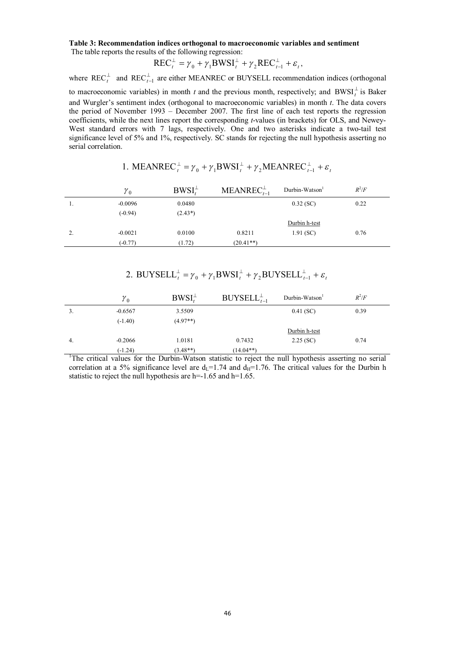#### **Table 3: Recommendation indices orthogonal to macroeconomic variables and sentiment**  The table reports the results of the following regression:

#### $\gamma_t^{\perp} = \gamma_0 + \gamma_1 \text{BWSI}_t^{\perp} + \gamma_2 \text{REC}_{t-1}^{\perp} + \varepsilon_t$  $\text{REC}_t^{\perp} = \gamma_0 + \gamma_1 \text{BWSI}_t^{\perp} + \gamma_2 \text{REC}_{t-1}^{\perp} + \varepsilon_t,$

where  $\text{REC}_t^{\perp}$  and  $\text{REC}_{t-1}^{\perp}$  are either MEANREC or BUYSELL recommendation indices (orthogonal to macroeconomic variables) in month *t* and the previous month, respectively; and  $BWSI_t^{\perp}$  is Baker and Wurgler's sentiment index (orthogonal to macroeconomic variables) in month *t*. The data covers the period of November 1993 – December 2007. The first line of each test reports the regression coefficients, while the next lines report the corresponding *t*-values (in brackets) for OLS, and Newey-West standard errors with 7 lags, respectively. One and two asterisks indicate a two-tail test significance level of 5% and 1%, respectively. SC stands for rejecting the null hypothesis asserting no serial correlation.

|    | ${\gamma}_0$ | $BWSI_{t}^{\perp}$ | MEANREC $_{t-1}$ | Durbin-Watson | $R^2/F$ |
|----|--------------|--------------------|------------------|---------------|---------|
|    | $-0.0096$    | 0.0480             |                  | $0.32$ (SC)   | 0.22    |
|    | $(-0.94)$    | $(2.43*)$          |                  |               |         |
|    |              |                    |                  | Durbin h-test |         |
| 2. | $-0.0021$    | 0.0100             | 0.8211           | 1.91(SC)      | 0.76    |
|    | $(-0.77)$    | (1.72)             | $(20.41**)$      |               |         |

| 1. MEANREC <sub>t</sub> <sup>1</sup> = $\gamma_0$ + $\gamma_1$ BWSI <sub>t</sub> <sup>1</sup> + $\gamma_2$ MEANREC <sub>t-1</sub> + $\varepsilon_t$ |  |
|-----------------------------------------------------------------------------------------------------------------------------------------------------|--|
|-----------------------------------------------------------------------------------------------------------------------------------------------------|--|

#### 2. BUYSELL $_t^{\perp} = \gamma_0 + \gamma_1 BWSI_t^{\perp} + \gamma_2 BUYSELL_{t-1}^{\perp} + \varepsilon_t$  $\text{BUYSELL}_t^\perp = \gamma_0 + \gamma_1 \text{BWSI}_t^\perp + \gamma_2 \text{BUYSELL}_{t-1}^\perp$

|     | ${\gamma}_{0}$ | $BWSI_t^{\perp}$ | $BUVSELL_{t-1}^{\perp}$ | Durbin-Watson | $R^2/F$ |
|-----|----------------|------------------|-------------------------|---------------|---------|
|     | $-0.6567$      | 3.5509           |                         | $0.41$ (SC)   | 0.39    |
|     | $(-1.40)$      | $(4.97**)$       |                         |               |         |
|     |                |                  |                         | Durbin h-test |         |
| -4. | $-0.2066$      | 1.0181           | 0.7432                  | 2.25(SC)      | 0.74    |
|     | $(-1.24)$      | $(3.48**)$       | $(14.04**)$             |               |         |

 $\frac{(1.24)}{\text{The critical values for the Durbin-Watson statistic to reject the null hypothesis asserting no serial.}$ correlation at a 5% significance level are  $d_1=1.74$  and  $d_1=1.76$ . The critical values for the Durbin h statistic to reject the null hypothesis are h=-1.65 and h=1.65.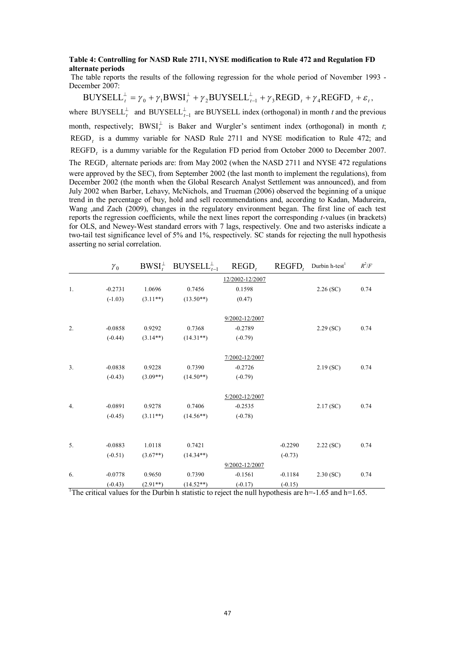#### **Table 4: Controlling for NASD Rule 2711, NYSE modification to Rule 472 and Regulation FD alternate periods**

 The table reports the results of the following regression for the whole period of November 1993 - December 2007:

 $\mu_t^{\perp} = \gamma_0 + \gamma_1 \text{BWSI}_t^{\perp} + \gamma_2 \text{BUYSELL}_{t-1}^{\perp} + \gamma_3 \text{REGD}_t + \gamma_4 \text{REGFD}_t + \varepsilon_t$  $\text{BUYSELL}_t^{\perp} = \gamma_0 + \gamma_1 \text{BWSI}_t^{\perp} + \gamma_2 \text{BUYSELL}_{t-1}^{\perp} + \gamma_3 \text{REGD}_t + \gamma_4 \text{REGFD}_t + \varepsilon_t,$ where BUYSELL<sup> $\perp$ </sup> and BUYSELL<sup> $\perp$ </sup><sub>t-1</sub> are BUYSELL index (orthogonal) in month *t* and the previous month, respectively; BWSI<sup> $\perp$ </sup> is Baker and Wurgler's sentiment index (orthogonal) in month *t*; REGD*<sup>t</sup>* is a dummy variable for NASD Rule 2711 and NYSE modification to Rule 472; and REGFD*<sup>t</sup>* is a dummy variable for the Regulation FD period from October 2000 to December 2007. The REGD<sub>t</sub> alternate periods are: from May 2002 (when the NASD 2711 and NYSE 472 regulations were approved by the SEC), from September 2002 (the last month to implement the regulations), from December 2002 (the month when the Global Research Analyst Settlement was announced), and from July 2002 when Barber, Lehavy, McNichols, and Trueman (2006) observed the beginning of a unique trend in the percentage of buy, hold and sell recommendations and, according to Kadan, Madureira, Wang ,and Zach (2009), changes in the regulatory environment began. The first line of each test reports the regression coefficients, while the next lines report the corresponding *t*-values (in brackets) for OLS, and Newey-West standard errors with 7 lags, respectively. One and two asterisks indicate a two-tail test significance level of 5% and 1%, respectively. SC stands for rejecting the null hypothesis asserting no serial correlation.

|    | $\gamma_0$ |            | $BWSI_t^{\perp}$ BUYSELL $_{t-1}^{\perp}$ | $REGD_t$        | $REGFD$ , | Durbin h-test <sup>1</sup> | $R^2/F$ |
|----|------------|------------|-------------------------------------------|-----------------|-----------|----------------------------|---------|
|    |            |            |                                           | 12/2002-12/2007 |           |                            |         |
| 1. | $-0.2731$  | 1.0696     | 0.7456                                    | 0.1598          |           | 2.26(SC)                   | 0.74    |
|    | $(-1.03)$  | $(3.11**)$ | $(13.50**)$                               | (0.47)          |           |                            |         |
|    |            |            |                                           | 9/2002-12/2007  |           |                            |         |
| 2. | $-0.0858$  | 0.9292     | 0.7368                                    | $-0.2789$       |           | $2.29$ (SC)                | 0.74    |
|    | $(-0.44)$  | $(3.14**)$ | $(14.31**)$                               | $(-0.79)$       |           |                            |         |
|    |            |            |                                           | 7/2002-12/2007  |           |                            |         |
| 3. | $-0.0838$  | 0.9228     | 0.7390                                    | $-0.2726$       |           | 2.19(SC)                   | 0.74    |
|    | $(-0.43)$  | $(3.09**)$ | $(14.50**)$                               | $(-0.79)$       |           |                            |         |
|    |            |            |                                           | 5/2002-12/2007  |           |                            |         |
| 4. | $-0.0891$  | 0.9278     | 0.7406                                    | $-0.2535$       |           | 2.17(SC)                   | 0.74    |
|    | $(-0.45)$  | $(3.11**)$ | $(14.56**)$                               | $(-0.78)$       |           |                            |         |
|    |            |            |                                           |                 |           |                            |         |
| 5. | $-0.0883$  | 1.0118     | 0.7421                                    |                 | $-0.2290$ | $2.22$ (SC)                | 0.74    |
|    | $(-0.51)$  | $(3.67**)$ | $(14.34**)$                               |                 | $(-0.73)$ |                            |         |
|    |            |            |                                           | 9/2002-12/2007  |           |                            |         |
| 6. | $-0.0778$  | 0.9650     | 0.7390                                    | $-0.1561$       | $-0.1184$ | 2.30(SC)                   | 0.74    |
|    | $(-0.43)$  | $(2.91**)$ | $(14.52**)$                               | $(-0.17)$       | $(-0.15)$ |                            |         |

<sup>1</sup>The critical values for the Durbin h statistic to reject the null hypothesis are  $h=1.65$  and  $h=1.65$ .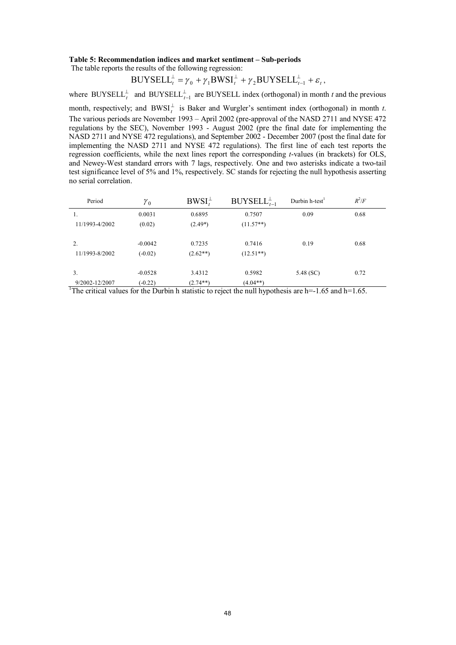#### **Table 5: Recommendation indices and market sentiment – Sub-periods**

The table reports the results of the following regression:

$$
BUYSELL_t^{\perp} = \gamma_0 + \gamma_1 BWSI_t^{\perp} + \gamma_2 BUYSELL_{t-1}^{\perp} + \varepsilon_t,
$$

where BUYSELL<sup> $\perp$ </sup> and BUYSELL<sup> $\perp$ </sup><sub>t-1</sub> are BUYSELL index (orthogonal) in month *t* and the previous

month, respectively; and  $BWSI_t^{\perp}$  is Baker and Wurgler's sentiment index (orthogonal) in month *t*. The various periods are November 1993 – April 2002 (pre-approval of the NASD 2711 and NYSE 472 regulations by the SEC), November 1993 - August 2002 (pre the final date for implementing the NASD 2711 and NYSE 472 regulations), and September 2002 - December 2007 (post the final date for implementing the NASD 2711 and NYSE 472 regulations). The first line of each test reports the regression coefficients, while the next lines report the corresponding *t*-values (in brackets) for OLS, and Newey-West standard errors with 7 lags, respectively. One and two asterisks indicate a two-tail test significance level of 5% and 1%, respectively. SC stands for rejecting the null hypothesis asserting no serial correlation.

| Period         | $\gamma_0$ | $BWSI_{t}^{\perp}$ | $BUYSELL_{t-1}^{\perp}$ | Durbin h-test <sup>1</sup> | $R^2/F$ |
|----------------|------------|--------------------|-------------------------|----------------------------|---------|
| 1.             | 0.0031     | 0.6895             | 0.7507                  | 0.09                       | 0.68    |
| 11/1993-4/2002 | (0.02)     | $(2.49*)$          | $(11.57**)$             |                            |         |
| 2.             | $-0.0042$  | 0.7235             | 0.7416                  | 0.19                       | 0.68    |
| 11/1993-8/2002 | $(-0.02)$  | $(2.62**)$         | $(12.51**)$             |                            |         |
| 3.             | $-0.0528$  | 3.4312             | 0.5982                  | 5.48 (SC)                  | 0.72    |
| 9/2002-12/2007 | $(-0.22)$  | $(2.74**)$         | $(4.04**)$              |                            |         |

<sup>1</sup>The critical values for the Durbin h statistic to reject the null hypothesis are  $h=1.65$  and  $h=1.65$ .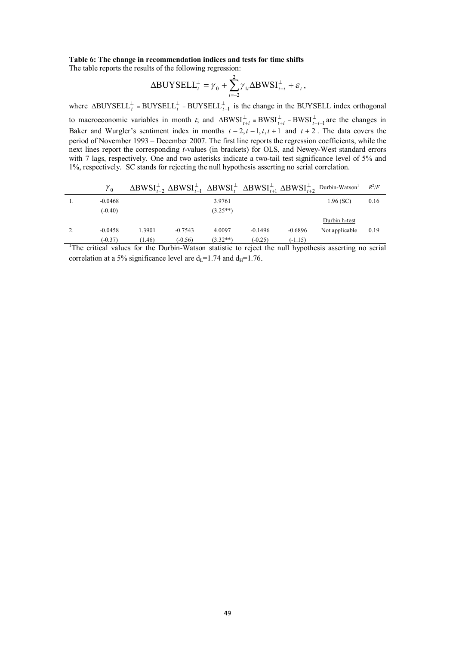#### **Table 6: The change in recommendation indices and tests for time shifts**

The table reports the results of the following regression:

$$
\Delta \text{BUYSELL}_t^{\perp} = \gamma_0 + \sum_{i=-2}^2 \gamma_{1i} \Delta \text{BWSI}_{t+i}^{\perp} + \varepsilon_t,
$$

where  $\triangle BUYSELL_t^{\perp} = BUYSELL_t^{\perp} - BUYSELL_{t-1}^{\perp}$  is the change in the BUYSELL index orthogonal

to macroeconomic variables in month *t*; and  $\triangle BWSI_{t+i}^{\perp} = BWSI_{t+i}^{\perp} - BWSI_{t+i-1}^{\perp}$  are the changes in Baker and Wurgler's sentiment index in months  $t - 2$ ,  $t - 1$ ,  $t$ ,  $t + 1$  and  $t + 2$ . The data covers the period of November 1993 – December 2007. The first line reports the regression coefficients, while the next lines report the corresponding *t*-values (in brackets) for OLS, and Newey-West standard errors with 7 lags, respectively. One and two asterisks indicate a two-tail test significance level of 5% and 1%, respectively. SC stands for rejecting the null hypothesis asserting no serial correlation.

| γo        |        |           |            |           |           | $\Delta$ BWSI $_{t-2}^{\perp}$ $\Delta$ BWSI $_{t-1}^{\perp}$ $\Delta$ BWSI $_{t}^{\perp}$ $\Delta$ BWSI $_{t+1}^{\perp}$ $\Delta$ BWSI $_{t+2}^{\perp}$ Durbin-Watson <sup>1</sup> | $R^2/F$ |
|-----------|--------|-----------|------------|-----------|-----------|-------------------------------------------------------------------------------------------------------------------------------------------------------------------------------------|---------|
| $-0.0468$ |        |           | 3.9761     |           |           | $1.96$ (SC)                                                                                                                                                                         | 0.16    |
| $(-0.40)$ |        |           | $(3.25**)$ |           |           |                                                                                                                                                                                     |         |
|           |        |           |            |           |           | Durbin h-test                                                                                                                                                                       |         |
| $-0.0458$ | 1.3901 | $-0.7543$ | 4.0097     | $-0.1496$ | $-0.6896$ | Not applicable                                                                                                                                                                      | 0.19    |
| $(-0.37)$ | (1.46) | $(-0.56)$ | $(3.32**)$ | $(-0.25)$ | $(-1.15)$ |                                                                                                                                                                                     |         |

<sup>1</sup>The critical values for the Durbin-Watson statistic to reject the null hypothesis asserting no serial correlation at a 5% significance level are  $d_I=1.74$  and  $d_H=1.76$ .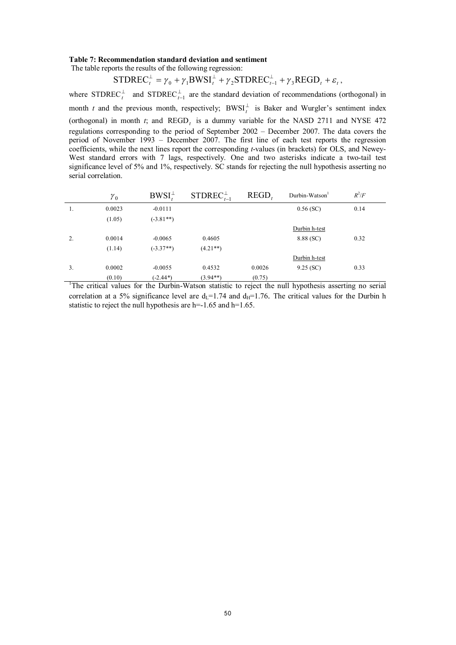#### **Table 7: Recommendation standard deviation and sentiment**

The table reports the results of the following regression:

$$
STDREC_t^{\perp} = \gamma_0 + \gamma_1 BWSI_t^{\perp} + \gamma_2 STDREC_{t-1}^{\perp} + \gamma_3 REGD_t + \varepsilon_t,
$$

where  $\text{STDREC}_t^{\perp}$  and  $\text{STDREC}_{t-1}^{\perp}$  are the standard deviation of recommendations (orthogonal) in month *t* and the previous month, respectively;  $BWSI_t^{\perp}$  is Baker and Wurgler's sentiment index (orthogonal) in month  $t$ ; and  $\text{REGD}_t$  is a dummy variable for the NASD 2711 and NYSE 472 regulations corresponding to the period of September 2002 – December 2007. The data covers the period of November 1993 – December 2007. The first line of each test reports the regression coefficients, while the next lines report the corresponding *t*-values (in brackets) for OLS, and Newey-West standard errors with 7 lags, respectively. One and two asterisks indicate a two-tail test significance level of 5% and 1%, respectively. SC stands for rejecting the null hypothesis asserting no serial correlation.

|    | $\gamma_0$ | $BWSI_t^{\perp}$ | STDREC $_{t-1}^{\perp}$ | <b>REGD</b> | Durbin-Watson | $R^2/F$ |
|----|------------|------------------|-------------------------|-------------|---------------|---------|
| 1. | 0.0023     | $-0.0111$        |                         |             | $0.56$ (SC)   | 0.14    |
|    | (1.05)     | $(-3.81**)$      |                         |             |               |         |
|    |            |                  |                         |             | Durbin h-test |         |
| 2. | 0.0014     | $-0.0065$        | 0.4605                  |             | 8.88 (SC)     | 0.32    |
|    | (1.14)     | $(-3.37**)$      | $(4.21**)$              |             |               |         |
|    |            |                  |                         |             | Durbin h-test |         |
| 3. | 0.0002     | $-0.0055$        | 0.4532                  | 0.0026      | $9.25$ (SC)   | 0.33    |
|    | (0.10)     | $-2.44*)$        | $(3.94**)$              | (0.75)      |               |         |

<sup>1</sup>The critical values for the Durbin-Watson statistic to reject the null hypothesis asserting no serial correlation at a 5% significance level are  $d<sub>L</sub>=1.74$  and  $d<sub>H</sub>=1.76$ . The critical values for the Durbin h statistic to reject the null hypothesis are h= $-1.65$  and h= $1.65$ .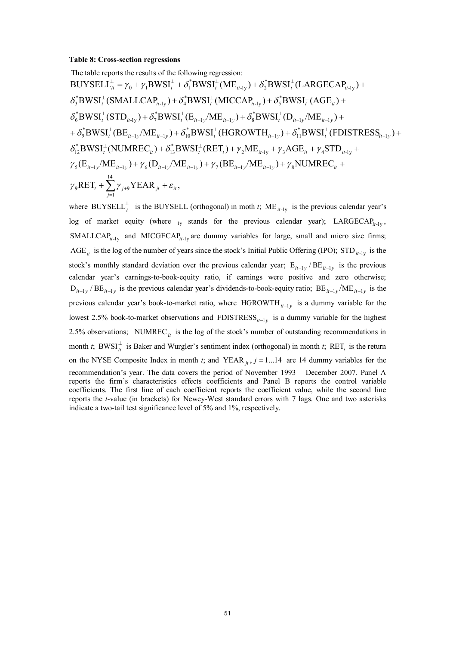#### **Table 8: Cross-section regressions**

The table reports the results of the following regression:  
\nBUYSEL<sup>L</sup><sub>it</sub> = 
$$
\gamma_0 + \gamma_1 BWSI_t^{\perp} + \delta_1^* BWSI_t^{\perp} (ME_{it-1y}) + \delta_2^* BWSI_t^{\perp} (LARGEAP_{it-1y}) + \n\delta_3^* BWSI_t^{\perp} (SMALLCAP_{it-1y}) + \delta_4^* BWSI_t^{\perp} (MICCAP_{it-1y}) + \delta_5^* BWSI_t^{\perp} (AGE_{it}) + \n\delta_6^* BWSI_t^{\perp} (STD_{it-1y}) + \delta_7^* BWSI_t^{\perp} (E_{it-1y}/ME_{it-1y}) + \delta_8^* BWSI_t^{\perp} (D_{it-1y}/ME_{it-1y}) + \n+ \delta_9^* BWSI_t^{\perp} (BE_{it-1y}/ME_{it-1y}) + \delta_{i0}^* BWSI_t^{\perp} (HGROWTH_{it-1y}) + \delta_{i1}^* BWSI_t^{\perp} (FDISTRESS_{it-1y}) + \n\delta_{i2}^* BWSI_t^{\perp} (NUMREC_{it}) + \delta_{i3}^* BWSI_t^{\perp} (RET_t) + \gamma_2 ME_{it-1y} + \gamma_3 AGE_{it} + \gamma_4 STD_{it-1y} + \n\gamma_5 (E_{it-1y}/ME_{it-1y}) + \gamma_6 (D_{it-1y}/ME_{it-1y}) + \gamma_7 (BE_{it-1y}/ME_{it-1y}) + \gamma_8 NUMREC_{it} + \n\gamma_9 RET_t + \sum_{j=1}^{14} \gamma_{j+9} YEAR_{jt} + \varepsilon_{it},
$$

where BUYSELL<sup> $\perp$ </sup> is the BUYSELL (orthogonal) in moth *t*; ME<sub>*it*-1y</sub> is the previous calendar year's log of market equity (where  $_{1y}$  stands for the previous calendar year); LARGECAP<sub>*it-1y*</sub>,  $SMLLCAP<sub>it-1v</sub>$  and MICGECAP<sub>it-1y</sub> are dummy variables for large, small and micro size firms; AGE<sub>it</sub> is the log of the number of years since the stock's Initial Public Offering (IPO);  $\text{STD}_{it-1y}$  is the stock's monthly standard deviation over the previous calendar year;  $E_{it-1y}/BE_{it-1y}$  is the previous calendar year's earnings-to-book-equity ratio, if earnings were positive and zero otherwise;  $D_{it-1y}$  /  $BE_{it-1y}$  is the previous calendar year's dividends-to-book-equity ratio;  $BE_{it-1y}$  /ME<sub>it-1y</sub> is the previous calendar year's book-to-market ratio, where  $HGROWTH_{it-1y}$  is a dummy variable for the lowest 2.5% book-to-market observations and  $FDISTRESS_{it-1y}$  is a dummy variable for the highest 2.5% observations; NUMREC<sub>*it*</sub> is the log of the stock's number of outstanding recommendations in month *t*; BWSI $_1^{\perp}$  is Baker and Wurgler's sentiment index (orthogonal) in month *t*; RET<sub>t</sub> is the return on the NYSE Composite Index in month *t*; and YEAR  $_i$ ,  $j = 1...14$  are 14 dummy variables for the recommendation's year. The data covers the period of November 1993 – December 2007. Panel A reports the firm's characteristics effects coefficients and Panel B reports the control variable coefficients. The first line of each coefficient reports the coefficient value, while the second line reports the *t*-value (in brackets) for Newey-West standard errors with 7 lags. One and two asterisks indicate a two-tail test significance level of 5% and 1%, respectively.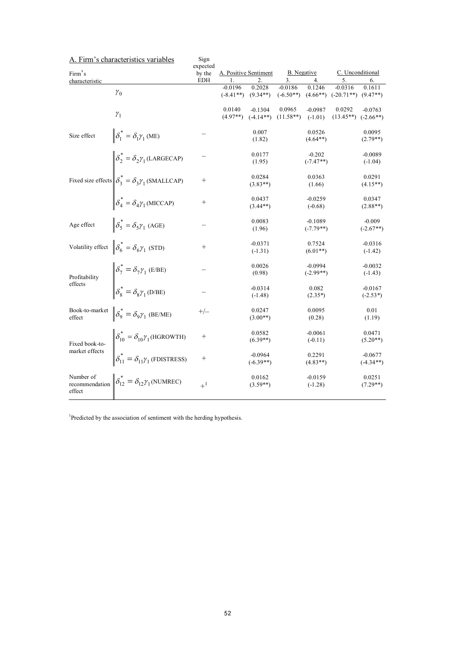|                                       | A. Firm's characteristics variables                                  | Sign<br>expected |                                                          |                          |                          |                          |                                      |                          |
|---------------------------------------|----------------------------------------------------------------------|------------------|----------------------------------------------------------|--------------------------|--------------------------|--------------------------|--------------------------------------|--------------------------|
| Firm's                                |                                                                      | by the           | C. Unconditional<br>B. Negative<br>A. Positive Sentiment |                          |                          |                          |                                      |                          |
| characteristic                        |                                                                      | <b>EDH</b>       | 1.                                                       | 2.                       | 3.                       | 4.                       | 5.                                   | 6.                       |
|                                       | $\gamma_0$                                                           |                  | $-0.0196$<br>$(-8.41**)$                                 | 0.2028<br>$(9.34**)$     | $-0.0186$<br>$(-6.50**)$ | 0.1246                   | $-0.0316$<br>$(4.66**)$ $(-20.71**)$ | 0.1611<br>$(9.47**)$     |
|                                       | $\gamma_1$                                                           |                  | 0.0140<br>$(4.97**)$                                     | $-0.1304$<br>$(-4.14**)$ | 0.0965<br>$(11.58**)$    | $-0.0987$<br>$(-1.01)$   | 0.0292<br>$(13.45**)$ $(-2.66**)$    | $-0.0763$                |
| Size effect                           | $\delta_1^* = \delta_1 \gamma_1$ (ME)                                |                  |                                                          | 0.007<br>(1.82)          |                          | 0.0526<br>$(4.64**)$     |                                      | 0.0095<br>$(2.79**)$     |
|                                       | $\delta_2^* = \delta_2 \gamma_1$ (LARGECAP)                          |                  |                                                          | 0.0177<br>(1.95)         |                          | $-0.202$<br>$(-7.47**)$  |                                      | $-0.0089$<br>$(-1.04)$   |
|                                       | Fixed size effects $\left \delta_3^* = \delta_3 \gamma_1$ (SMALLCAP) | $^{+}$           |                                                          | 0.0284<br>$(3.83**)$     |                          | 0.0363<br>(1.66)         |                                      | 0.0291<br>$(4.15**)$     |
|                                       | $\delta_4^* = \delta_4 \gamma_1$ (MICCAP)                            | $^{+}$           |                                                          | 0.0437<br>$(3.44**)$     |                          | $-0.0259$<br>$(-0.68)$   |                                      | 0.0347<br>$(2.88**)$     |
| Age effect                            | $\delta_5^* = \delta_5 \gamma_1$ (AGE)                               |                  |                                                          | 0.0083<br>(1.96)         |                          | $-0.1089$<br>$(-7.79**)$ |                                      | $-0.009$<br>$(-2.67**)$  |
| Volatility effect                     | $\delta_6^* = \delta_6 \gamma_1$ (STD)                               | $^{+}$           |                                                          | $-0.0371$<br>$(-1.31)$   |                          | 0.7524<br>$(6.01**)$     |                                      | $-0.0316$<br>$(-1.42)$   |
| Profitability                         | $\delta_7^* = \delta_7 \gamma_1$ (E/BE)                              |                  |                                                          | 0.0026<br>(0.98)         |                          | $-0.0994$<br>$(-2.99**)$ |                                      | $-0.0032$<br>$(-1.43)$   |
| effects                               | $\delta_8^* = \delta_8 \gamma_1$ (D/BE)                              |                  |                                                          | $-0.0314$<br>$(-1.48)$   |                          | 0.082<br>$(2.35*)$       |                                      | $-0.0167$<br>$(-2.53*)$  |
| Book-to-market<br>effect              | $\delta_9^* = \delta_9 \gamma_1$ (BE/ME)                             | $+/-$            |                                                          | 0.0247<br>$(3.00**)$     |                          | 0.0095<br>(0.28)         |                                      | 0.01<br>(1.19)           |
| Fixed book-to-                        | $\delta_{10}^* = \delta_{10} \gamma_1$ (HGROWTH)                     | $^{+}$           |                                                          | 0.0582<br>$(6.39**)$     |                          | $-0.0061$<br>$(-0.11)$   |                                      | 0.0471<br>$(5.20**)$     |
| market effects                        | $\delta_{11}^* = \delta_{11} \gamma_1$ (FDISTRESS)                   | $^{+}$           |                                                          | $-0.0964$<br>$(-6.39**)$ |                          | 0.2291<br>$(4.83**)$     |                                      | $-0.0677$<br>$(-4.34**)$ |
| Number of<br>recommendation<br>effect | $\delta_{12}^* = \delta_{12} \gamma_1$ (NUMREC)                      | $+$ <sup>1</sup> |                                                          | 0.0162<br>$(3.59**)$     |                          | $-0.0159$<br>$(-1.28)$   |                                      | 0.0251<br>$(7.29**)$     |

A. Firm's characteristics variables

<sup>1</sup>Predicted by the association of sentiment with the herding hypothesis.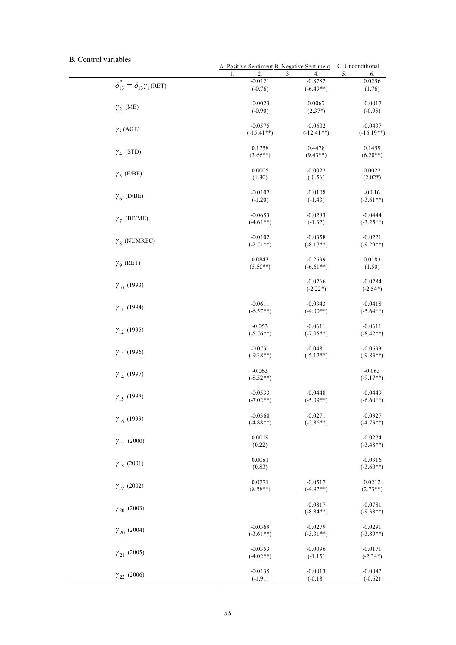## B. Control variables

|                                                    | A. Positive Sentiment B. Negative Sentiment |                          | C. Unconditional         |
|----------------------------------------------------|---------------------------------------------|--------------------------|--------------------------|
|                                                    | 3.<br>1.<br>2.                              | 4.                       | 5.<br>6.                 |
| $\delta_{13}^* = \delta_{13} \gamma_1(\text{RET})$ | $-0.0121$                                   | $-0.8782$                | 0.0256                   |
|                                                    | $(-0.76)$                                   | $(-6.49**)$              | (1.76)                   |
| $\gamma_2$ (ME)                                    | $-0.0023$                                   | 0.0067                   | $-0.0017$                |
|                                                    | $(-0.90)$                                   | $(2.37*)$                | $(-0.95)$                |
| $\gamma_3(AGE)$                                    | $-0.0575$                                   | $-0.0602$                | $-0.0437$                |
|                                                    | $(-15.41**)$                                | $(-12.41**)$             | $(-16.19**)$             |
| $\gamma_4$ (STD)                                   | 0.1258                                      | 0.4478                   | 0.1459                   |
|                                                    | $(3.66**)$                                  | $(9.43**)$               | $(6.20**)$               |
| $\gamma_5$ (E/BE)                                  | 0.0005                                      | $-0.0022$                | 0.0022                   |
|                                                    | (1.30)                                      | $(-0.56)$                | $(2.02*)$                |
| $\gamma_6$ (D/BE)                                  | $-0.0102$                                   | $-0.0108$                | $-0.016$                 |
|                                                    | $(-1.20)$                                   | $(-1.43)$                | $(-3.61**)$              |
| $\gamma_7$ (BE/ME)                                 | $-0.0653$                                   | $-0.0283$                | $-0.0444$                |
|                                                    | $(-4.61**)$                                 | $(-1.32)$                | $(-3.25**)$              |
| $\gamma_{8}$ (NUMREC)                              | $-0.0102$                                   | $-0.0358$                | $-0.0221$                |
|                                                    | $(-2.71**)$                                 | $(-8.17**)$              | $(-9.29**)$              |
| $\gamma$ <sub>9</sub> (RET)                        | 0.0843                                      | $-0.2699$                | 0.0183                   |
|                                                    | $(5.50**)$                                  | $(-6.61**)$              | (1.50)                   |
| $\gamma_{10}$ (1993)                               |                                             | $-0.0266$<br>$(-2.22*)$  | $-0.0284$<br>$(-2.54*)$  |
| $\gamma_{11}$ (1994)                               | $-0.0611$                                   | $-0.0343$                | $-0.0418$                |
|                                                    | $(-6.57**)$                                 | $(-4.00**)$              | $(-5.64**)$              |
| $\gamma_{12}$ (1995)                               | $-0.053$                                    | $-0.0611$                | $-0.0611$                |
|                                                    | $(-5.76**)$                                 | $(-7.05**)$              | $(-8.42**)$              |
| $\gamma_{13}$ (1996)                               | $-0.0731$                                   | $-0.0481$                | $-0.0693$                |
|                                                    | $(-9.38**)$                                 | $(-5.12**)$              | $(-9.83**)$              |
| $\gamma_{14}$ (1997)                               | $-0.063$<br>$(-8.52**)$                     |                          | $-0.063$<br>$(-9.17**)$  |
| $\gamma_{15}$ (1998)                               | $-0.0533$                                   | $-0.0448$                | $-0.0449$                |
|                                                    | $(-7.02**)$                                 | $(-5.09**)$              | $(-6.60**)$              |
| $\gamma_{16}$ (1999)                               | $-0.0368$                                   | $-0.0271$                | $-0.0327$                |
|                                                    | $(-4.88**)$                                 | $(-2.86**)$              | $(-4.73**)$              |
| $\gamma_{17}$ (2000)                               | 0.0019<br>(0.22)                            |                          | $-0.0274$<br>$(-3.48**)$ |
| $\gamma_{18}$ (2001)                               | 0.0081<br>(0.83)                            |                          | $-0.0316$<br>$(-3.60**)$ |
| $\gamma_{19}$ (2002)                               | 0.0771                                      | $-0.0517$                | 0.0212                   |
|                                                    | $(8.58**)$                                  | $(-4.92**)$              | $(2.73**)$               |
| $\gamma_{20}$ (2003)                               |                                             | $-0.0817$<br>$(-8.84**)$ | $-0.0781$<br>$(-9.38**)$ |
| $\gamma_{20}$ (2004)                               | $-0.0369$                                   | $-0.0279$                | $-0.0291$                |
|                                                    | $(-3.61**)$                                 | $(-3.31**)$              | $(-3.89**)$              |
| $\gamma_{21}$ (2005)                               | $-0.0353$                                   | $-0.0096$                | $-0.0171$                |
|                                                    | $(-4.02**)$                                 | $(-1.15)$                | $(-2.34*)$               |
| $\gamma_{22}$ (2006)                               | $-0.0135$                                   | $-0.0013$                | $-0.0042$                |
|                                                    | $(-1.91)$                                   | $(-0.18)$                | $(-0.62)$                |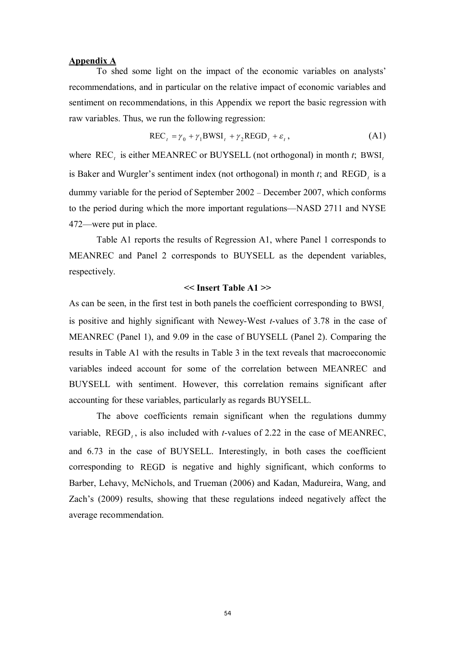#### **Appendix A**

To shed some light on the impact of the economic variables on analysts' recommendations, and in particular on the relative impact of economic variables and sentiment on recommendations, in this Appendix we report the basic regression with raw variables. Thus, we run the following regression:

$$
RECt = \gamma_0 + \gamma_1 BWSIt + \gamma_2 REGDt + \varepsilon_t,
$$
 (A1)

where REC<sub>t</sub> is either MEANREC or BUYSELL (not orthogonal) in month *t*; BWSI<sub>t</sub> is Baker and Wurgler's sentiment index (not orthogonal) in month  $t$ ; and  $\text{REGD}_t$  is a dummy variable for the period of September 2002 – December 2007, which conforms to the period during which the more important regulations—NASD 2711 and NYSE 472—were put in place.

Table A1 reports the results of Regression A1, where Panel 1 corresponds to MEANREC and Panel 2 corresponds to BUYSELL as the dependent variables, respectively.

#### **<< Insert Table A1 >>**

As can be seen, in the first test in both panels the coefficient corresponding to BWSI<sub>t</sub> is positive and highly significant with Newey-West *t*-values of 3.78 in the case of MEANREC (Panel 1), and 9.09 in the case of BUYSELL (Panel 2). Comparing the results in Table A1 with the results in Table 3 in the text reveals that macroeconomic variables indeed account for some of the correlation between MEANREC and BUYSELL with sentiment. However, this correlation remains significant after accounting for these variables, particularly as regards BUYSELL.

The above coefficients remain significant when the regulations dummy variable,  $REGD<sub>t</sub>$ , is also included with *t*-values of 2.22 in the case of MEANREC, and 6.73 in the case of BUYSELL. Interestingly, in both cases the coefficient corresponding to REGD is negative and highly significant, which conforms to Barber, Lehavy, McNichols, and Trueman (2006) and Kadan, Madureira, Wang, and Zach's (2009) results, showing that these regulations indeed negatively affect the average recommendation.